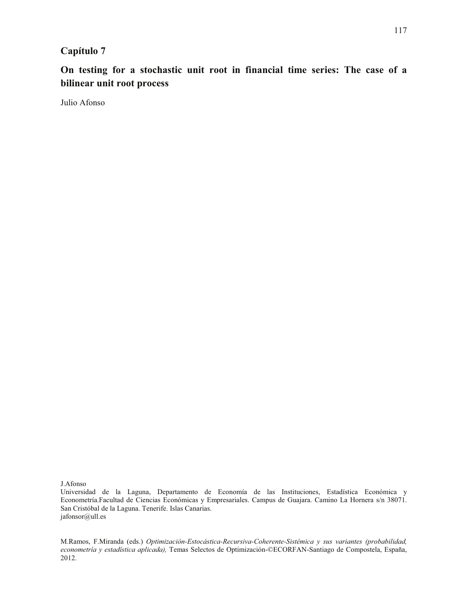# **Capítulo 7**

**On testing for a stochastic unit root in financial time series: The case of a bilinear unit root process**

Julio Afonso

J.Afonso

M.Ramos, F.Miranda (eds.) *Optimización-Estocástica-Recursiva-Coherente-Sistémica y sus variantes (probabilidad, econometría y estadística aplicada),* Temas Selectos de Optimización-©ECORFAN-Santiago de Compostela, España, 2012.

Universidad de la Laguna, Departamento de Economía de las Instituciones, Estadística Económica y Econometría.Facultad de Ciencias Económicas y Empresariales. Campus de Guajara. Camino La Hornera s/n 38071. San Cristóbal de la Laguna. Tenerife. Islas Canarias. jafonsor@ull.es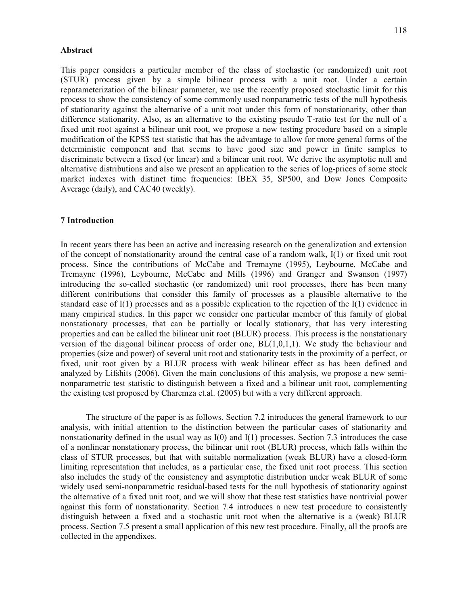This paper considers a particular member of the class of stochastic (or randomized) unit root (STUR) process given by a simple bilinear process with a unit root. Under a certain reparameterization of the bilinear parameter, we use the recently proposed stochastic limit for this process to show the consistency of some commonly used nonparametric tests of the null hypothesis of stationarity against the alternative of a unit root under this form of nonstationarity, other than difference stationarity. Also, as an alternative to the existing pseudo T-ratio test for the null of a fixed unit root against a bilinear unit root, we propose a new testing procedure based on a simple modification of the KPSS test statistic that has the advantage to allow for more general forms of the deterministic component and that seems to have good size and power in finite samples to discriminate between a fixed (or linear) and a bilinear unit root. We derive the asymptotic null and alternative distributions and also we present an application to the series of log-prices of some stock market indexes with distinct time frequencies: IBEX 35, SP500, and Dow Jones Composite Average (daily), and CAC40 (weekly).

## **7 Introduction**

In recent years there has been an active and increasing research on the generalization and extension of the concept of nonstationarity around the central case of a random walk, I(1) or fixed unit root process. Since the contributions of McCabe and Tremayne (1995), Leybourne, McCabe and Tremayne (1996), Leybourne, McCabe and Mills (1996) and Granger and Swanson (1997) introducing the so-called stochastic (or randomized) unit root processes, there has been many different contributions that consider this family of processes as a plausible alternative to the standard case of  $I(1)$  processes and as a possible explication to the rejection of the  $I(1)$  evidence in many empirical studies. In this paper we consider one particular member of this family of global nonstationary processes, that can be partially or locally stationary, that has very interesting properties and can be called the bilinear unit root (BLUR) process. This process is the nonstationary version of the diagonal bilinear process of order one,  $BL(1,0,1,1)$ . We study the behaviour and properties (size and power) of several unit root and stationarity tests in the proximity of a perfect, or fixed, unit root given by a BLUR process with weak bilinear effect as has been defined and analyzed by Lifshits (2006). Given the main conclusions of this analysis, we propose a new seminonparametric test statistic to distinguish between a fixed and a bilinear unit root, complementing the existing test proposed by Charemza et.al. (2005) but with a very different approach.

The structure of the paper is as follows. Section 7.2 introduces the general framework to our analysis, with initial attention to the distinction between the particular cases of stationarity and nonstationarity defined in the usual way as I(0) and I(1) processes. Section 7.3 introduces the case of a nonlinear nonstationary process, the bilinear unit root (BLUR) process, which falls within the class of STUR processes, but that with suitable normalization (weak BLUR) have a closed-form limiting representation that includes, as a particular case, the fixed unit root process. This section also includes the study of the consistency and asymptotic distribution under weak BLUR of some widely used semi-nonparametric residual-based tests for the null hypothesis of stationarity against the alternative of a fixed unit root, and we will show that these test statistics have nontrivial power against this form of nonstationarity. Section 7.4 introduces a new test procedure to consistently distinguish between a fixed and a stochastic unit root when the alternative is a (weak) BLUR process. Section 7.5 present a small application of this new test procedure. Finally, all the proofs are collected in the appendixes.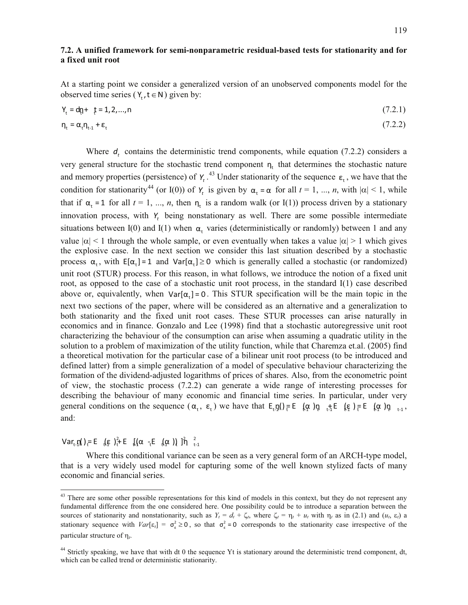# **7.2. A unified framework for semi-nonparametric residual-based tests for stationarity and for a fixed unit root**

At a starting point we consider a generalized version of an unobserved components model for the observed time series ( $Y_t$ ,  $t \in N$ ) given by:

$$
Y_{t} = d\mathbf{p} + \mathbf{p} = 1, 2, ..., n \tag{7.2.1}
$$

$$
\eta_{t} = \alpha_{t} \eta_{t-1} + \varepsilon_{t} \tag{7.2.2}
$$

Where  $d_t$  contains the deterministic trend components, while equation (7.2.2) considers a very general structure for the stochastic trend component  $n_t$  that determines the stochastic nature and memory properties (persistence) of  $Y_t$ .<sup>43</sup> Under stationarity of the sequence  $\varepsilon_t$ , we have that the condition for stationarity<sup>44</sup> (or I(0)) of  $Y_t$  is given by  $\alpha_t = \alpha$  for all  $t = 1, ..., n$ , with  $|\alpha| < 1$ , while that if  $\alpha_t = 1$  for all  $t = 1, ..., n$ , then  $\eta_t$  is a random walk (or I(1)) process driven by a stationary innovation process, with  $Y_t$  being nonstationary as well. There are some possible intermediate situations between I(0) and I(1) when  $\alpha_t$  varies (deterministically or randomly) between 1 and any value  $|\alpha| < 1$  through the whole sample, or even eventually when takes a value  $|\alpha| > 1$  which gives the explosive case. In the next section we consider this last situation described by a stochastic process  $\alpha_t$ , with  $E[\alpha_t] = 1$  and  $Var[\alpha_t] \ge 0$  which is generally called a stochastic (or randomized) unit root (STUR) process. For this reason, in what follows, we introduce the notion of a fixed unit root, as opposed to the case of a stochastic unit root process, in the standard I(1) case described above or, equivalently, when  $Var[\alpha_t] = 0$ . This STUR specification will be the main topic in the next two sections of the paper, where will be considered as an alternative and a generalization to both stationarity and the fixed unit root cases. These STUR processes can arise naturally in economics and in finance. Gonzalo and Lee (1998) find that a stochastic autoregressive unit root characterizing the behaviour of the consumption can arise when assuming a quadratic utility in the solution to a problem of maximization of the utility function, while that Charemza et.al. (2005) find a theoretical motivation for the particular case of a bilinear unit root process (to be introduced and defined latter) from a simple generalization of a model of speculative behaviour characterizing the formation of the dividend-adjusted logarithms of prices of shares. Also, from the econometric point of view, the stochastic process (7.2.2) can generate a wide range of interesting processes for describing the behaviour of many economic and financial time series. In particular, under very general conditions on the sequence  $(\alpha_t, \varepsilon_t)$  we have that  $E_t \eta(t) = E(\alpha) \eta_{t} \eta_{t} + E(\varepsilon) E(E) \eta_{t} \eta_{t+1}$ , and:

Var,  $\eta$ ) = E  $(\xi)$   $\neq$  E  $[(\alpha - E)(\alpha)]$   $\eta$   $\frac{2}{t-1}$ 

 $\overline{a}$ 

Where this conditional variance can be seen as a very general form of an ARCH-type model, that is a very widely used model for capturing some of the well known stylized facts of many economic and financial series.

<sup>&</sup>lt;sup>43</sup> There are some other possible representations for this kind of models in this context, but they do not represent any fundamental difference from the one considered here. One possibility could be to introduce a separation between the sources of stationarity and nonstationarity, such as  $Y_t = d_t + \zeta_t$ , where  $\zeta_t = \eta_t + u_t$  with  $\eta_t$  as in (2.1) and  $(u_t, \varepsilon_t)$  a stationary sequence with  $Var[\epsilon_i] = \sigma_{\epsilon}^2 \ge 0$ , so that  $\sigma_{\epsilon}^2 = 0$  corresponds to the stationarity case irrespective of the particular structure of  $\eta_t$ .

<sup>&</sup>lt;sup>44</sup> Strictly speaking, we have that with dt 0 the sequence Yt is stationary around the deterministic trend component, dt, which can be called trend or deterministic stationarity.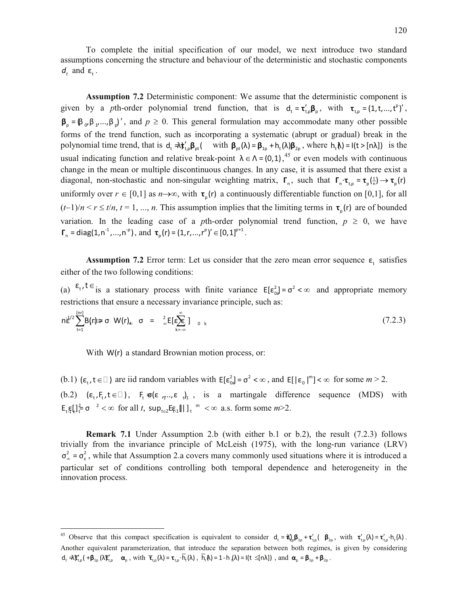To complete the initial specification of our model, we next introduce two standard assumptions concerning the structure and behaviour of the deterministic and stochastic components  $d_t$  and  $\varepsilon_t$ .

**Assumption 7.2** Deterministic component: We assume that the deterministic component is given by a *p*th-order polynomial trend function, that is  $d_t = \tau_{t,p}' \beta_p$ , with  $\tau_{t,p} = (1, t, ..., t^p)'$ ,  $\beta_p = \beta_p \beta_p \dots \beta_p'$ , and  $p \ge 0$ . This general formulation may accommodate many other possible forms of the trend function, such as incorporating a systematic (abrupt or gradual) break in the polynomial time trend, that is  $d_t = \frac{d}{dt} \int_{t,p}^t B_{pt}$  (with  $\beta_{pt}(\lambda) = \beta_{1p} + h_t(\lambda) \beta_{2p}$ , where  $h_t(\lambda) = l(t > [n\lambda])$  is the usual indicating function and relative break-point  $\lambda \in \Lambda = (0,1)$ ,<sup>45</sup> or even models with continuous diagonal, non-stochastic and non-singular weighting matrix,  $\mathbf{r}_n$ , such that  $\mathbf{r}_n \cdot \mathbf{r}_{\text{th}} = \mathbf{r}_p(\frac{t}{n}) \rightarrow \mathbf{r}_p(r)$ change in the mean or multiple discontinuous changes. In any case, it is assumed that there exist a uniformly over  $r \in [0,1]$  as  $n \rightarrow \infty$ , with  $\tau_p(r)$  a continuously differentiable function on [0,1], for all  $(t-1)/n < r \leq t/n$ ,  $t = 1, ..., n$ . This assumption implies that the limiting terms in  $\tau_p(r)$  are of bounded variation. In the leading case of a *p*th-order polynomial trend function,  $p \ge 0$ , we have  $\Gamma_n = \text{diag}(1, n^{-1}, ..., n^{-p}), \text{ and } \tau_p(r) = (1, r, ..., r^p)' \in [0, 1]^{p+1}.$ 

**Assumption 7.2** Error term: Let us consider that the zero mean error sequence  $\varepsilon_t$  satisfies either of the two following conditions:

(a)  $\epsilon_t$ ,  $t \in$  is a stationary process with finite variance  $E[\epsilon_{0}^2] = \sigma^2 < \infty$  and appropriate memory restrictions that ensure a necessary invariance principle, such as:

$$
n\bar{\epsilon}^{1/2}\sum_{t=1}^{[nr]}B(t)\neq\sigma W(r)_{\ell_{0}}\sigma=\frac{2}{\infty}E[\epsilon\sum_{k=-\infty}^{\infty}]\Big|_{0=k}
$$
 (7.2.3)

With W(r) a standard Brownian motion process, or:

l

(b.1)  $(\epsilon_t, t \in \square)$  are iid random variables with  $E[\epsilon_{0}^2] = \sigma^2 < \infty$ , and  $E[|\epsilon_0|^m] < \infty$  for some  $m > 2$ . (b.2)  $(\epsilon_t, F_t, t \in \square)$ ,  $F_t \varphi(\epsilon_{t}, F_{t}, t \in \square)$ , is a martingale difference sequence (MDS) with  $E_{t} \xi_{t} \left[ \int_{t}^{2} \sigma^{-2} < \infty \right]$  for all *t*,  $\sup_{t \in \mathbb{Z}} E \xi_{t} \left[ \left\| \int_{t}^{m} < \infty \right]$  a.s. form some  $m > 2$ .

**Remark 7.1** Under Assumption 2.b (with either b.1 or b.2), the result (7.2.3) follows trivially from the invariance principle of McLeish (1975), with the long-run variance (LRV)  $\sigma_{\infty}^2 = \sigma_{\epsilon}^2$ , while that Assumption 2.a covers many commonly used situations where it is introduced a particular set of conditions controlling both temporal dependence and heterogeneity in the innovation process.

<sup>&</sup>lt;sup>45</sup> Observe that this compact specification is equivalent to consider  $d_t = \hat{\mathbf{d}}_{\theta}^{\dagger} \mathbf{\beta}_{1p} + \mathbf{r}_{t}^{\dagger} (\mathbf{\beta}_{2p}, \text{ with } \mathbf{r}_{t,p}^{\dagger}(\lambda) = \mathbf{r}_{t,p}^{\dagger} \cdot \mathbf{h}_t(\lambda)$ . Another equivalent parameterization, that introduce the separation between both regimes, is given by considering  $d_t \nightharpoonup \overline{\mathbf{F}}_{t,p}' + \beta_{1p} (\lambda \overline{\mathbf{F}}_{t,p}' - \alpha_p, \text{ with } \overline{\tau}_{t,p}(\lambda) = \tau_{t,p} \cdot \overline{h}_t(\lambda), \ \overline{h}_t(\lambda) = 1 - h(\lambda) = I(t \leq [n\lambda])$ , and  $\alpha_p = \beta_{1p} + \beta_{2p}$ .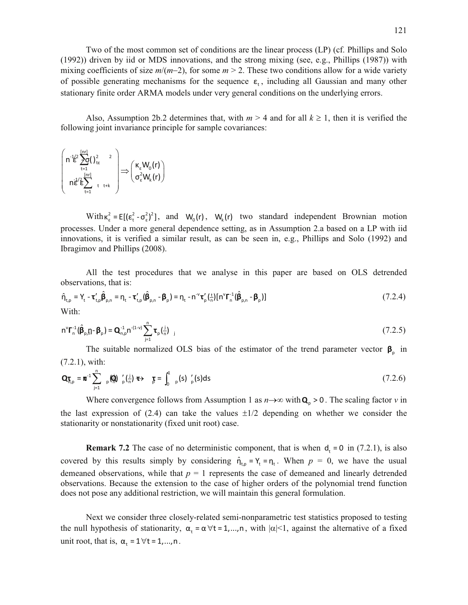Two of the most common set of conditions are the linear process (LP) (cf. Phillips and Solo (1992)) driven by iid or MDS innovations, and the strong mixing (see, e.g., Phillips (1987)) with mixing coefficients of size  $m/(m-2)$ , for some  $m > 2$ . These two conditions allow for a wide variety of possible generating mechanisms for the sequence  $\varepsilon_t$ , including all Gaussian and many other stationary finite order ARMA models under very general conditions on the underlying errors.

Also, Assumption 2b.2 determines that, with  $m > 4$  and for all  $k \ge 1$ , then it is verified the following joint invariance principle for sample covariances:

$$
\begin{pmatrix}\nn^{-1}\mathcal{E}\sum_{t=1}^{\lfloor nr\rfloor}\left(\begin{matrix}1\ 2\end{matrix}\right)_{te}^{2} & 2 \\
n\mathcal{E}\sum_{t=1}^{\lfloor nr\rfloor}\n\mathcal{E}\sum_{t=1}^{\lfloor nr\rfloor}\n\mathcal{E}\n\end{pmatrix} \Longrightarrow \begin{pmatrix}\n\kappa_{\varepsilon}W_{0}(r) \\
\sigma_{\varepsilon}^{2}W_{k}(r)\n\end{pmatrix}
$$

With  $\kappa_{\varepsilon}^2 = E[(\varepsilon_{\varepsilon}^2 - \sigma_{\varepsilon}^2)^2]$ , and  $W_0(r)$ ,  $W_k(r)$  two standard independent Brownian motion processes. Under a more general dependence setting, as in Assumption 2.a based on a LP with iid innovations, it is verified a similar result, as can be seen in, e.g., Phillips and Solo (1992) and Ibragimov and Phillips (2008).

All the test procedures that we analyse in this paper are based on OLS detrended observations, that is:

$$
\hat{\mathbf{n}}_{\mathsf{t,p}} = \mathbf{Y}_{\mathsf{t}} - \mathbf{\tau}_{\mathsf{t,p}}' \hat{\mathbf{\beta}}_{\mathsf{p,n}} = \mathbf{n}_{\mathsf{t}} - \mathbf{\tau}_{\mathsf{t,p}}' (\hat{\mathbf{\beta}}_{\mathsf{p,n}} - \mathbf{\beta}_{\mathsf{p}}) = \mathbf{n}_{\mathsf{t}} - \mathbf{n}^{\vee} \mathbf{\tau}_{\mathsf{p}}' (\frac{\mathsf{t}}{\mathsf{n}}) [\mathbf{n}^{\vee} \mathbf{\Gamma}_{\mathsf{n}}^{-1} (\hat{\mathbf{\beta}}_{\mathsf{p,n}} - \mathbf{\beta}_{\mathsf{p}})]
$$
\n(7.2.4)

$$
n^{\nu} \Gamma_n^{-1} (\hat{\boldsymbol{\beta}}_{p,n} - \boldsymbol{\beta}_p) = \mathbf{Q}_{n,p}^{-1} n^{-(1-\nu)} \sum_{j=1}^n \tau_p \left(\frac{j}{n}\right)_{j}
$$
(7.2.5)

The suitable normalized OLS bias of the estimator of the trend parameter vector  $\beta_{p}$  in (7.2.1), with:

$$
\mathbf{Q}_{\overline{\mathbf{h}},\mathbf{p}} = \mathbf{m}^{-1} \sum_{j=1}^{n} \mathbf{p} \left( \mathbf{Q} \right) \frac{\partial}{\partial \mathbf{p}} \left( \frac{j}{n} \right) \mathbf{F} \Rightarrow \mathbf{F} = \int_{0}^{1} \mathbf{p}(s) \frac{\partial}{\partial \mathbf{p}}(s) \, ds \tag{7.2.6}
$$

Where convergence follows from Assumption 1 as  $n \rightarrow \infty$  with  $\mathbf{Q}_n > 0$ . The scaling factor *v* in the last expression of  $(2.4)$  can take the values  $\pm 1/2$  depending on whether we consider the stationarity or nonstationarity (fixed unit root) case.

**Remark 7.2** The case of no deterministic component, that is when  $d_t = 0$  in (7.2.1), is also covered by this results simply by considering  $\hat{\eta}_{t,p} = Y_t = \eta_t$ . When  $p = 0$ , we have the usual demeaned observations, while that  $p = 1$  represents the case of demeaned and linearly detrended observations. Because the extension to the case of higher orders of the polynomial trend function does not pose any additional restriction, we will maintain this general formulation.

Next we consider three closely-related semi-nonparametric test statistics proposed to testing the null hypothesis of stationarity,  $\alpha_1 = \alpha \forall t = 1,...,n$ , with  $|\alpha| < 1$ , against the alternative of a fixed unit root, that is,  $\alpha_1 = 1 \forall t = 1, ..., n$ .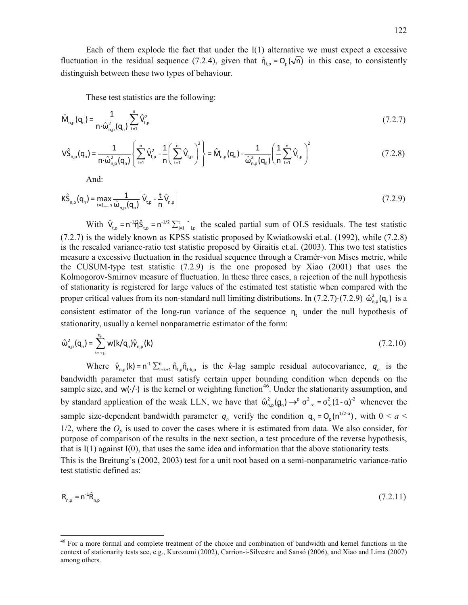Each of them explode the fact that under the I(1) alternative we must expect a excessive fluctuation in the residual sequence (7.2.4), given that  $\hat{\eta}_{t,p} = O_p(\sqrt{n})$  in this case, to consistently distinguish between these two types of behaviour.

These test statistics are the following:

$$
\hat{M}_{n,p}(\mathbf{q}_n) = \frac{1}{n \cdot \hat{\omega}_{n,p}^2(\mathbf{q}_n)} \sum_{t=1}^n \hat{V}_{t,p}^2
$$
\n(7.2.7)

$$
\mathsf{V}\hat{\mathsf{S}}_{n,p}(\mathbf{q}_n) = \frac{1}{n \cdot \hat{\omega}_{n,p}^2(\mathbf{q}_n)} \left\{ \sum_{t=1}^n \hat{\mathsf{V}}_{t,p}^2 - \frac{1}{n} \left( \sum_{t=1}^n \hat{\mathsf{V}}_{t,p} \right)^2 \right\} = \hat{\mathsf{M}}_{n,p}(\mathbf{q}_n) - \frac{1}{\hat{\omega}_{n,p}^2(\mathbf{q}_n)} \left( \frac{1}{n} \sum_{t=1}^n \hat{\mathsf{V}}_{t,p} \right)^2 \tag{7.2.8}
$$

And:

 $\overline{\phantom{a}}$ 

$$
K\hat{S}_{n,p}(q_n) = \max_{t=1,...,n} \frac{1}{\hat{\omega}_{n,p}(q_n)} \left| \hat{V}_{t,p} - \frac{t}{n} \hat{V}_{n,p} \right|
$$
(7.2.9)

With  $\hat{V}_{t,p} = n^{-1/2} \hat{S}_{t,p} = n^{-1/2} \sum_{j=1}^{t} \hat{S}_{j,p}$  the scaled partial sum of OLS residuals. The test statistic (7.2.7) is the widely known as KPSS statistic proposed by Kwiatkowski et.al. (1992), while (7.2.8) is the rescaled variance-ratio test statistic proposed by Giraitis et.al. (2003). This two test statistics measure a excessive fluctuation in the residual sequence through a Cramér-von Mises metric, while the CUSUM-type test statistic (7.2.9) is the one proposed by Xiao (2001) that uses the Kolmogorov-Smirnov measure of fluctuation. In these three cases, a rejection of the null hypothesis of stationarity is registered for large values of the estimated test statistic when compared with the proper critical values from its non-standard null limiting distributions. In (7.2.7)-(7.2.9)  $\hat{\omega}_{n,p}^2(q_n)$  is a consistent estimator of the long-run variance of the sequence  $n_t$  under the null hypothesis of stationarity, usually a kernel nonparametric estimator of the form:

$$
\hat{\omega}_{n,p}^2(q_n) = \sum_{k=-q_n}^{q_n} w(k/q_n) \hat{\gamma}_{n,p}(k)
$$
\n(7.2.10)

Where  $\hat{v}_{n,p}(k) = n^{-1} \sum_{t=k+1}^{n} \hat{n}_{t,p} \hat{n}_{t+k,p}$  is the *k*-lag sample residual autocovariance,  $q_n$  is the bandwidth parameter that must satisfy certain upper bounding condition when depends on the sample size, and  $w(\cdot)$  is the kernel or weighting function<sup>46</sup>. Under the stationarity assumption, and by standard application of the weak LLN, we have that  $\hat{\omega}_{n,p}^2(q_n) \rightarrow^p \sigma^2_{\infty} = \sigma_{\infty}^2 (1 - \alpha)^{-2}$  whenever the sample size-dependent bandwidth parameter  $q_n$  verify the condition  $q_n = O_p(n^{1/2-a})$ , with  $0 \le a \le a$ 1/2, where the  $O_p$  is used to cover the cases where it is estimated from data. We also consider, for purpose of comparison of the results in the next section, a test procedure of the reverse hypothesis, that is I(1) against I(0), that uses the same idea and information that the above stationarity tests.

This is the Breitung's (2002, 2003) test for a unit root based on a semi-nonparametric variance-ratio test statistic defined as:

$$
\overline{\mathsf{R}}_{n,p} = n^{-1}\hat{\mathsf{R}}_{n,p} \tag{7.2.11}
$$

<sup>&</sup>lt;sup>46</sup> For a more formal and complete treatment of the choice and combination of bandwidth and kernel functions in the context of stationarity tests see, e.g., Kurozumi (2002), Carrion-i-Silvestre and Sansó (2006), and Xiao and Lima (2007) among others.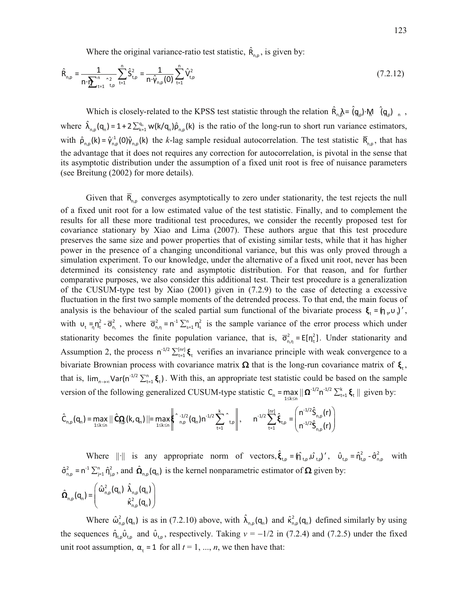Where the original variance-ratio test statistic,  $\hat{R}_{n,p}$ , is given by:

$$
\hat{R}_{n,p} = \frac{1}{n \cdot \sum_{t=1}^{n} \gamma_t^2} \sum_{t=1}^{n} \hat{S}_{t,p}^2 = \frac{1}{n \cdot \hat{\gamma}_{n,p}(0)} \sum_{t=1}^{n} \hat{V}_{t,p}^2
$$
\n(7.2.12)

Which is closely-related to the KPSS test statistic through the relation  $\hat{R}_n \lambda = \hat{q}_n \cdot M$   $\hat{q}_n$ , where  $\hat{\lambda}_{n,p}(\mathbf{q}_n) = 1 + 2 \sum_{k=1}^{q_n} w(k/\mathbf{q}_n) \hat{\rho}_{n,p}(k)$  is the ratio of the long-run to short run variance estimators, with  $\hat{\rho}_{n,p}(k) = \hat{\gamma}_{n,p}^1(0)\hat{\gamma}_{n,p}(k)$  the *k*-lag sample residual autocorrelation. The test statistic  $\overline{R}_{n,p}$ , that has the advantage that it does not requires any correction for autocorrelation, is pivotal in the sense that its asymptotic distribution under the assumption of a fixed unit root is free of nuisance parameters (see Breitung (2002) for more details).

Given that  $\overline{R}_{n,p}$  converges asymptotically to zero under stationarity, the test rejects the null of a fixed unit root for a low estimated value of the test statistic. Finally, and to complement the results for all these more traditional test procedures, we consider the recently proposed test for covariance stationary by Xiao and Lima (2007). These authors argue that this test procedure preserves the same size and power properties that of existing similar tests, while that it has higher power in the presence of a changing unconditional variance, but this was only proved through a simulation experiment. To our knowledge, under the alternative of a fixed unit root, never has been determined its consistency rate and asymptotic distribution. For that reason, and for further comparative purposes, we also consider this additional test. Their test procedure is a generalization of the CUSUM-type test by Xiao (2001) given in (7.2.9) to the case of detecting a excessive fluctuation in the first two sample moments of the detrended process. To that end, the main focus of analysis is the behaviour of the scaled partial sum functional of the bivariate process  $\xi_t = (\eta_v u)$ , with  $v_t = n_t^2 - \overline{\sigma}_{n,t}^2$ , where  $\overline{\sigma}_{n,n}^2 = n^{-1} \sum_{s=1}^n n_s^2$  is the sample variance of the error process which under stationarity becomes the finite population variance, that is,  $\overline{\sigma}_{n,n}^2 = E[n_t^2]$ . Under stationarity and Assumption 2, the process  $n^{-1/2} \sum_{t=1}^{\lfloor nr \rfloor} \xi_t$  verifies an invariance principle with weak convergence to a bivariate Brownian process with covariance matrix  $\Omega$  that is the long-run covariance matrix of  $\xi_t$ , that is,  $\lim_{n\to\infty}$ Var(n<sup>-1/2</sup>  $\sum_{t=1}^{n} \xi_t$ ). With this, an appropriate test statistic could be based on the sample version of the following generalized CUSUM-type statistic  $C_n = \max_{1 \le k \le n} || \Omega^{-1/2} \Omega^{-1/2} \sum_{t=1}^k \xi_t ||$  $C_n = \max_{1 \le k \le n} \| \mathbf{\Omega}^{-1/2} n^{-1/2} \sum_{t=1}^k \mathbf{\xi}_t \|$  given by:

$$
\hat{C}_{n,p}(q_n) = \max_{1 \leq k \leq n} \|\hat{C}_{n,p}^{n}(k,q_n)\| = \max_{1 \leq k \leq n} \left\| \int_{n,p}^{-1/2} (q_n) n^{-1/2} \sum_{t=1}^{k} \left\| \int_{t,p}^{t} \right\|, \qquad n^{-1/2} \sum_{t=1}^{[n\tau]} \hat{\xi}_{t,p} = \left( \frac{n^{-1/2} \hat{S}_{n,p}(r)}{n^{-1/2} \hat{S}_{n,p}(r)} \right) \right\|
$$

Where  $\|\cdot\|$  is any appropriate norm of vectors,  $\hat{\xi}_{t,p} = (\hat{\eta}_{t,p}, \hat{\upsilon}_{t,p})'$ ,  $\hat{\upsilon}_{t,p} = \hat{\eta}_{t,p}^2 - \hat{\sigma}_{n,p}^2$  with  $\hat{\sigma}_{n,p}^2 = n^{-1} \sum_{j=1}^n \hat{\eta}_{j,p}^2$ , and  $\hat{\Omega}_{n,p}(q_n)$  is the kernel nonparametric estimator of  $\Omega$  given by:

$$
\hat{\mathbf{\Omega}}_{n,p}(\mathbf{q}_n) = \left(\begin{array}{cc} \hat{\omega}_{n,p}^2(\mathbf{q}_n) & \hat{\lambda}_{n,p}(\mathbf{q}_n) \\ \hat{\kappa}_{n,p}^2(\mathbf{q}_n) \end{array}\right)
$$

Where  $\hat{\omega}_{n,p}^2(q_n)$  is as in (7.2.10) above, with  $\hat{\lambda}_{n,p}(q_n)$  and  $\hat{\kappa}_{n,p}^2(q_n)$  defined similarly by using the sequences  $\hat{\eta}_{to} \hat{\omega}_{to}$  and  $\hat{\omega}_{to}$ , respectively. Taking  $v = -1/2$  in (7.2.4) and (7.2.5) under the fixed unit root assumption,  $\alpha_t = 1$  for all  $t = 1, ..., n$ , we then have that: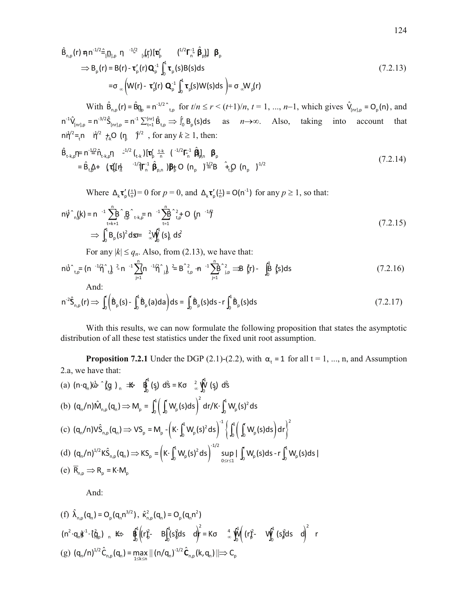$$
\hat{\mathsf{B}}_{n,p}(r) \eta n^{-1/2} \hat{=} [\mathsf{B}_{n,p} \; n^{-1/2} \; [\mathsf{A}_{n}^{r}] [\mathbf{t}_{p}^{r}] \; (\mathsf{I}_{n}^{r}) \; (\mathsf{I}_{n}^{r}) \; \mathsf{B}_{p}^{r}] \; \mathsf{B}_{p}
$$
\n
$$
\Rightarrow \mathsf{B}_{p}(r) = \mathsf{B}(r) - \mathsf{t}_{p}^{r}(r) \mathbf{Q}_{p}^{-1} \int_{0}^{1} \mathsf{t}_{p}(s) \mathsf{B}(s) \, \mathrm{d}s
$$
\n
$$
= \sigma_{\infty} \left( \mathsf{W}(r) - \mathsf{t}_{p}^{r}(r) \; \mathbf{Q}_{p}^{-1} \int_{0}^{1} \mathsf{t}_{p}(s) \mathsf{W}(s) \, \mathrm{d}s \; \right) = \sigma_{\infty} \mathsf{W}_{p}(r)
$$
\n(7.2.13)

With  $\hat{B}_{n,p}(r) = \hat{B}_{n,p}(r) = n^{-1/2}$  for  $t/n \le r < (t+1)/n$ ,  $t = 1, ..., n-1$ , which gives  $\hat{V}_{[n r], p} = O_p(n)$ , and  $n^{-1}\hat{V}_{[nr],p} = n^{-3/2}\hat{S}_{[nr],p} = n^{-1}\sum_{t=1}^{[nr]}\hat{B}_{t,p} \Rightarrow \int_0^t B_p(s)ds$  as  $n\rightarrow\infty$ . Also, taking into account that  $n\dot{N}^2 =_t n \dot{N}^2$   $\dot{N}^2$   $\dot{N} = (n - \dot{N}^2)$ , for any  $k \ge 1$ , then:

$$
\hat{\mathbf{B}}_{t+k,p}\eta = n^{-1/2}\hat{\mathbf{n}}_{t+k,p}\eta \quad {}^{-1/2}\left(\begin{matrix} t_{1k} \end{matrix}\right) \left[\mathbf{\tau}_{p}^{t} \right]_{n}^{\frac{t-k}{n}} \left(\begin{matrix} -1/2 \mathbf{F}_{n}^{-1} \hat{\mathbf{B}} \end{matrix}\right)_{n} R_{p} \quad \mathbf{\beta}_{p}
$$
\n
$$
= \hat{\mathbf{B}}_{t,p} + \left(\mathbf{\tau}_{p}^{t}\right) \left[\mathbf{\tau}_{p}^{t} \right]_{n}^{\frac{t+1}{n}} \left(\begin{matrix} -1/2 \mathbf{F}_{n}^{-1} \hat{\mathbf{B}} \end{matrix}\right)_{n} R_{p} O \left(\mathbf{n}_{p}\right)^{\frac{t+2}{2}} \mathbf{B} \left(\begin{matrix} \hat{\mathbf{n}}_{p} \end{matrix}\right)^{\frac{t+2}{2}} \left(\mathbf{n}_{p}\right)^{\frac{t+2}{2}} \left(\begin{matrix} \hat{\mathbf{n}}_{p} \end{matrix}\right)^{\frac{t+2}{2}} \left(\mathbf{n}_{p}\right)^{\frac{t+2}{2}} \left(\begin{matrix} \hat{\mathbf{n}}_{p} \end{matrix}\right)^{\frac{t+2}{2}} \left(\mathbf{n}_{p}\right)^{\frac{t+2}{2}} \left(\mathbf{n}_{p}\right)^{\frac{t+2}{2}} \left(\mathbf{n}_{p}\right)^{\frac{t+2}{2}} \left(\mathbf{n}_{p}\right)^{\frac{t+2}{2}} \left(\mathbf{n}_{p}\right)^{\frac{t+2}{2}} \left(\mathbf{n}_{p}\right)^{\frac{t+2}{2}} \left(\mathbf{n}_{p}\right)^{\frac{t+2}{2}} \left(\mathbf{n}_{p}\right)^{\frac{t+2}{2}} \left(\mathbf{n}_{p}\right)^{\frac{t+2}{2}} \left(\mathbf{n}_{p}\right)^{\frac{t+2}{2}} \left(\mathbf{n}_{p}\right)^{\frac{t+2}{2}} \left(\mathbf{n}_{p}\right)^{\frac{t+2}{2}} \left(\mathbf{n}_{p}\right)^{\frac{t+2}{2}} \left(\mathbf{n}_{p}\right)^{\frac{t+2}{2}} \left(\mathbf{n}_{p}\right)^{\frac{t+2}{2}} \left(\mathbf{n}_{p}\right)^{\frac{t+2}{2}} \left(\mathbf{n}_{p}\right)^{\frac{t+2}{2}} \left
$$

Where  $\Delta_k \tau'_p(\frac{t}{n}) = 0$  for  $p = 0$ , and  $\Delta_k \tau'_p(\frac{t}{n}) = O(n^{-1})$  for any  $p \ge 1$ , so that:

$$
n\dot{\gamma}^n{}_n(k) = n^{-1} \sum_{t=k+1}^n B^n{}_n B^{n}_{t+k} = n^{-1} \sum_{t=1}^n B^{n-2}_{t,p} + O^{n-1}\gamma^2
$$
  
\n
$$
\Rightarrow \int_0^1 B_p(s)^2 ds = \int_{-\infty}^2 W_0^1(s) ds^2
$$
\n(7.2.15)

For any  $|k| \le q_n$ . Also, from (2.13), we have that:

$$
n\dot{d}^{2}_{t,p} = (n^{-1}\dot{\mathcal{H}}^{2}_{t})^{2} - n^{-1}\sum_{j=1}^{n} (n^{-1}\dot{\mathcal{H}}^{2}_{j})^{2} = B^{2}_{t,p} + n^{-1}\sum_{j=1}^{n} B^{2}_{j,p} \implies \dot{\mathcal{H}}^{2}_{t,p} - \int_{0}^{1} \dot{\mathcal{H}}^{2}_{s} ds
$$
 (7.2.16)

And:

$$
n^{-2}\hat{S}_{n,p}(r) \Longrightarrow \int_0^r \left(\hat{B}_p(s) - \int_0^a \hat{B}_p(a)da\right)ds = \int_0^r \hat{B}_p(s)ds - r\int_0^a \hat{B}_p(s)ds \tag{7.2.17}
$$

With this results, we can now formulate the following proposition that states the asymptotic distribution of all these test statistics under the fixed unit root assumption.

**Proposition 7.2.1** Under the DGP (2.1)-(2.2), with  $\alpha_t = 1$  for all  $t = 1, ..., n$ , and Assumption 2.a, we have that:

(a) 
$$
(n \cdot q_n) \vec{\omega} \cdot \hat{f}_{n,p} \rightarrow \mathbb{I}
$$
  
\n(b)  $(q_n/n) \hat{M}_{n,p}(q_n) \Rightarrow M_p = \int_0^1 \left( \int_0^r W_p(s) ds \right)^2 dr/K \cdot \int_0^1 W_p(s)^2 ds$   
\n(c)  $(q_n/n) \hat{V} \hat{S}_{n,p}(q_n) \Rightarrow VS_p = M_p - \left( K \cdot \int_0^1 W_p(s)^2 ds \right)^{-1} \left\{ \int_0^1 \left( \int_0^r W_p(s) ds \right) dr \right\}^2$   
\n(d)  $(q_n/n)^{1/2} K \hat{S}_{n,p}(q_n) \Rightarrow KS_p = \left( K \cdot \int_0^1 W_p(s)^2 ds \right)^{-1/2} \sup_{0 \le r \le 1} |\int_0^r W_p(s) ds - r \int_0^1 W_p(s) ds|$   
\n(e)  $\overline{R}_{n,p} \Rightarrow R_p = K \cdot M_p$ 

And:

(f) 
$$
\hat{\lambda}_{n,p}(q_n) = O_p(q_n n^{3/2})
$$
,  $\hat{\kappa}_{n,p}^2(q_n) = O_p(q_n n^2)$   
\n $(n^2 \cdot q_n \hat{\kappa}^1 \cdot (\hat{q}_p)_{n} \hat{\kappa} \hat{\phi}^1 \hat{\phi}^1 (r \hat{\kappa}^2 - B \hat{\phi}^1 S \hat{\phi} ds d)^2 = K\sigma \hat{\phi}^1 \hat{\phi}^1 (r \hat{\kappa}^2 - V \hat{\phi}^1 S \hat{\phi} ds d)^2$   
\n(g)  $(q_n/n)^{1/2} \hat{C}_{n,p}(q_n) = \max_{1 \le k \le n} || (n/q_n)^{1/2} \hat{C}_{n,p}(k, q_n) || \Rightarrow C_p$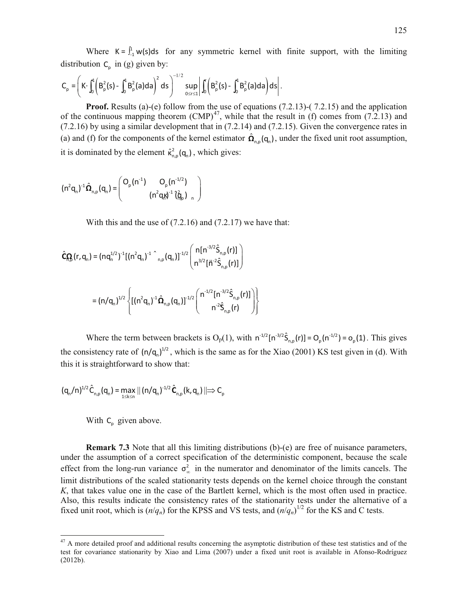Where  $K = \int_{-1}^{1} w(s) ds$  for any symmetric kernel with finite support, with the limiting distribution  $C_p$  in (g) given by:

$$
C_p = \left(K \cdot \int_0^1 \left(B_p^2(s) - \int_0^1 B_p^2(a)da\right)^2 ds\right)^{-1/2} \sup_{0 \le r \le 1} \left| \int_0^1 \left(B_p^2(s) - \int_0^1 B_p^2(a)da\right)ds \right|.
$$

**Proof.** Results (a)-(e) follow from the use of equations (7.2.13)-(7.2.15) and the application of the continuous mapping theorem  $(CMP)^{47}$ , while that the result in (f) comes from (7.2.13) and (a) and (f) for the components of the kernel estimator  $\hat{\Omega}_{n,p} (q_n)$ , under the fixed unit root assumption, (7.2.16) by using a similar development that in (7.2.14) and (7.2.15). Given the convergence rates in it is dominated by the element  $\hat{\kappa}^2_{n,p}(\mathbf{q}_n)$ , which gives:

$$
(n^{2}q_{n})^{-1}\hat{\Omega}_{n,p}(q_{n}) = \begin{pmatrix} Q_{p}(n^{-1}) & Q_{p}(n^{-1/2}) \\ (n^{2}q_{n})^{-1}(\hat{q}_{p})_{n} \end{pmatrix}
$$

With this and the use of  $(7.2.16)$  and  $(7.2.17)$  we have that:

$$
\hat{C}_{n,p}^{Q}(r,q_{n}) = (nq_{n}^{1/2})^{-1}[(n^{2}q_{n})^{-1} \wedge_{n,p}(q_{n})]^{-1/2} \left( \frac{n[n^{-3/2}\hat{S}_{n,p}(r)]}{n^{3/2}[n^{2}\hat{S}_{n,p}(r)]} \right)
$$

$$
= (n/q_{n})^{1/2} \left\{ [(n^{2}q_{n})^{-1}\hat{\Omega}_{n,p}(q_{n})]^{-1/2} \left( \frac{n^{-1/2}[n^{-3/2}\hat{S}_{n,p}(r)]}{n^{-2}\hat{S}_{n,p}(r)} \right) \right\}
$$

Where the term between brackets is  $O_p(1)$ , with  $n^{-1/2} [n^{-3/2} \hat{S}_{n,p}(r)] = O_p(n^{-1/2}) = o_p(1)$ . This gives the consistency rate of  $(n/q_n)^{1/2}$ , which is the same as for the Xiao (2001) KS test given in (d). With this it is straightforward to show that:

$$
(q_{n}/n)^{1/2}\hat{C}_{n,p}(q_{n}) = \max_{1 \leq k \leq n} || (n/q_{n})^{1/2}\hat{C}_{n,p}(k,q_{n}) || \Rightarrow C_{p}
$$

With 
$$
C_p
$$
 given above.

 $\overline{\phantom{a}}$ 

**Remark 7.3** Note that all this limiting distributions (b)-(e) are free of nuisance parameters, under the assumption of a correct specification of the deterministic component, because the scale effect from the long-run variance  $\sigma_{\infty}^2$  in the numerator and denominator of the limits cancels. The limit distributions of the scaled stationarity tests depends on the kernel choice through the constant *K*, that takes value one in the case of the Bartlett kernel, which is the most often used in practice. Also, this results indicate the consistency rates of the stationarity tests under the alternative of a fixed unit root, which is  $(n/q_n)$  for the KPSS and VS tests, and  $(n/q_n)^{1/2}$  for the KS and C tests.

 $47$  A more detailed proof and additional results concerning the asymptotic distribution of these test statistics and of the test for covariance stationarity by Xiao and Lima (2007) under a fixed unit root is available in Afonso-Rodríguez (2012b).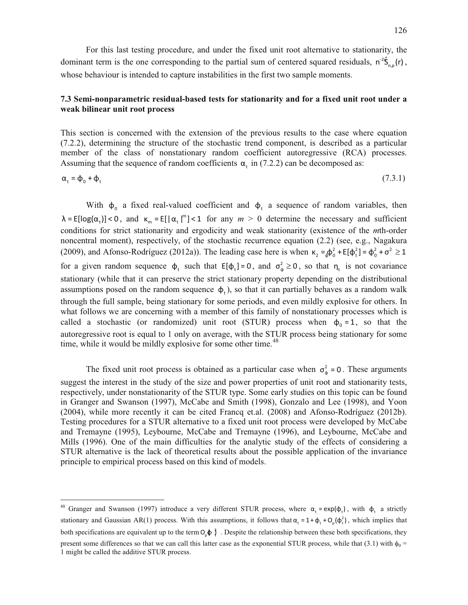For this last testing procedure, and under the fixed unit root alternative to stationarity, the dominant term is the one corresponding to the partial sum of centered squared residuals,  $n^{-2}\hat{S}_{n,p}(r)$ , whose behaviour is intended to capture instabilities in the first two sample moments.

## **7.3 Semi-nonparametric residual-based tests for stationarity and for a fixed unit root under a weak bilinear unit root process**

This section is concerned with the extension of the previous results to the case where equation (7.2.2), determining the structure of the stochastic trend component, is described as a particular member of the class of nonstationary random coefficient autoregressive (RCA) processes. Assuming that the sequence of random coefficients  $\alpha_t$  in (7.2.2) can be decomposed as:

$$
\alpha_{t} = \phi_{0} + \phi_{t} \tag{7.3.1}
$$

With  $\phi_0$  a fixed real-valued coefficient and  $\phi_t$  a sequence of random variables, then  $\lambda = E[\log(\alpha_t)] < 0$ , and  $\kappa_m = E[\alpha_t]^m] < 1$  for any  $m > 0$  determine the necessary and sufficient conditions for strict stationarity and ergodicity and weak stationarity (existence of the *m*th-order noncentral moment), respectively, of the stochastic recurrence equation (2.2) (see, e.g., Nagakura (2009), and Afonso-Rodríguez (2012a)). The leading case here is when  $\kappa_2 = \phi_0^2 + E[\phi_1^2] = \phi_0^2 + \sigma^2 \ge 1$ for a given random sequence  $\phi_t$  such that  $E[\phi_t] = 0$ , and  $\sigma_{\phi}^2 \ge 0$ , so that  $\eta_t$  is not covariance stationary (while that it can preserve the strict stationary property depending on the distributional assumptions posed on the random sequence  $\phi_t$ ), so that it can partially behaves as a random walk through the full sample, being stationary for some periods, and even mildly explosive for others. In what follows we are concerning with a member of this family of nonstationary processes which is called a stochastic (or randomized) unit root (STUR) process when  $\phi_0 = 1$ , so that the autoregressive root is equal to 1 only on average, with the STUR process being stationary for some time, while it would be mildly explosive for some other time.<sup>48</sup>

The fixed unit root process is obtained as a particular case when  $\sigma_{\phi}^2 = 0$ . These arguments suggest the interest in the study of the size and power properties of unit root and stationarity tests, respectively, under nonstationarity of the STUR type. Some early studies on this topic can be found in Granger and Swanson (1997), McCabe and Smith (1998), Gonzalo and Lee (1998), and Yoon (2004), while more recently it can be cited Francq et.al. (2008) and Afonso-Rodríguez (2012b). Testing procedures for a STUR alternative to a fixed unit root process were developed by McCabe and Tremayne (1995), Leybourne, McCabe and Tremayne (1996), and Leybourne, McCabe and Mills (1996). One of the main difficulties for the analytic study of the effects of considering a STUR alternative is the lack of theoretical results about the possible application of the invariance principle to empirical process based on this kind of models.

l

<sup>&</sup>lt;sup>48</sup> Granger and Swanson (1997) introduce a very different STUR process, where  $\alpha_t = \exp(\phi_t)$ , with  $\phi_t$  a strictly stationary and Gaussian AR(1) process. With this assumptions, it follows that  $\alpha_t = 1 + \phi_t + O_p(\phi_t^2)$ , which implies that both specifications are equivalent up to the term  $O_0 \phi \hat{j}$ . Despite the relationship between these both specifications, they present some differences so that we can call this latter case as the exponential STUR process, while that (3.1) with  $\phi_0$  = 1 might be called the additive STUR process.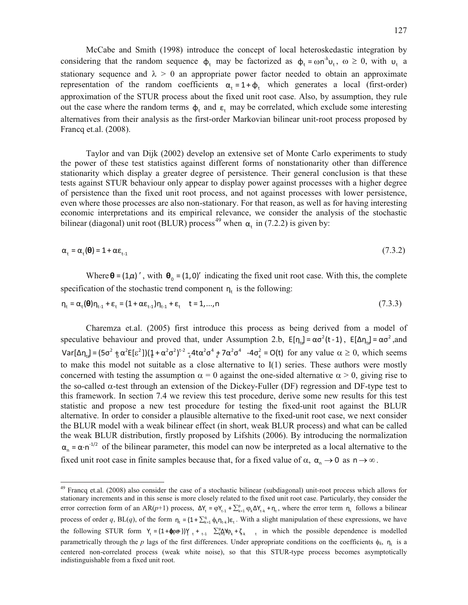McCabe and Smith (1998) introduce the concept of local heteroskedastic integration by considering that the random sequence  $\phi_t$  may be factorized as  $\phi_t = \omega n^{\lambda} u_t$ ,  $\omega \ge 0$ , with  $u_t$  a stationary sequence and  $\lambda > 0$  an appropriate power factor needed to obtain an approximate representation of the random coefficients  $\alpha_t = 1 + \phi_t$  which generates a local (first-order) approximation of the STUR process about the fixed unit root case. Also, by assumption, they rule out the case where the random terms  $\phi_t$  and  $\varepsilon_t$  may be correlated, which exclude some interesting alternatives from their analysis as the first-order Markovian bilinear unit-root process proposed by Francq et.al. (2008).

Taylor and van Dijk (2002) develop an extensive set of Monte Carlo experiments to study the power of these test statistics against different forms of nonstationarity other than difference stationarity which display a greater degree of persistence. Their general conclusion is that these tests against STUR behaviour only appear to display power against processes with a higher degree of persistence than the fixed unit root process, and not against processes with lower persistence, even where those processes are also non-stationary. For that reason, as well as for having interesting economic interpretations and its empirical relevance, we consider the analysis of the stochastic bilinear (diagonal) unit root (BLUR) process<sup>49</sup> when  $\alpha$ , in (7.2.2) is given by:

$$
\alpha_{t} = \alpha_{t}(\mathbf{\Theta}) = 1 + \alpha \varepsilon_{t-1} \tag{7.3.2}
$$

Where  $\theta = (1, \alpha)'$ , with  $\theta_0 = (1, 0)'$  indicating the fixed unit root case. With this, the complete specification of the stochastic trend component  $\eta_t$  is the following:

$$
\eta_{t} = \alpha_{t}(\boldsymbol{\theta})\eta_{t-1} + \varepsilon_{t} = (1 + \alpha \varepsilon_{t-1})\eta_{t-1} + \varepsilon_{t} \quad t = 1,...,n
$$
\n(7.3.3)

Charemza et.al. (2005) first introduce this process as being derived from a model of speculative behaviour and proved that, under Assumption 2.b,  $E[n_{td}] = \alpha \sigma^2(t-1)$ ,  $E[\Delta \eta_{td}] = \alpha \sigma^2$ , and  $Var[\Delta \eta_{td}] = (5\sigma^2 + \alpha^2 E[\epsilon^2])(\frac{1}{4} + \alpha^2 \sigma^2)^{t-2} + 4\alpha^2 \sigma^4 + 7\alpha^2 \sigma^4 - 4\sigma_\epsilon^2 = O(t)$  for any value  $\alpha \ge 0$ , which seems to make this model not suitable as a close alternative to I(1) series. These authors were mostly concerned with testing the assumption  $\alpha = 0$  against the one-sided alternative  $\alpha > 0$ , giving rise to the so-called  $\alpha$ -test through an extension of the Dickey-Fuller (DF) regression and DF-type test to this framework. In section 7.4 we review this test procedure, derive some new results for this test statistic and propose a new test procedure for testing the fixed-unit root against the BLUR alternative. In order to consider a plausible alternative to the fixed-unit root case, we next consider the BLUR model with a weak bilinear effect (in short, weak BLUR process) and what can be called the weak BLUR distribution, firstly proposed by Lifshits (2006). By introducing the normalization  $\alpha_n = \alpha \cdot n^{-1/2}$  of the bilinear parameter, this model can now be interpreted as a local alternative to the fixed unit root case in finite samples because that, for a fixed value of  $\alpha$ ,  $\alpha_n \to 0$  as  $n \to \infty$ .

 $\overline{\phantom{a}}$ 

<sup>&</sup>lt;sup>49</sup> Francq et.al. (2008) also consider the case of a stochastic bilinear (subdiagonal) unit-root process which allows for stationary increments and in this sense is more closely related to the fixed unit root case. Particularly, they consider the error correction form of an AR( $p+1$ ) process,  $\Delta Y_t = \varphi Y_{t-1} + \sum_{k=1}^p \varphi_k \Delta Y_{t-k} + \eta_t$ , where the error term  $\eta_t$  follows a bilinear process of order q, BL(q), of the form  $\eta_t = (1 + \sum_{k=1}^q \phi_k \eta_{t-k}) \varepsilon_t$ . With a slight manipulation of these expressions, we have the following STUR form  $Y_t = (1 + \phi \rho \theta)Y_t + \phi \theta \sum_{k=1}^{p} X_k + \phi \theta \sum_{k=1}^{p} Y_k$  in which the possible dependence is modelled parametrically through the *p* lags of the first differences. Under appropriate conditions on the coefficients  $\phi_k$ ,  $\eta_t$  is a centered non-correlated process (weak white noise), so that this STUR-type process becomes asymptotically indistinguishable from a fixed unit root.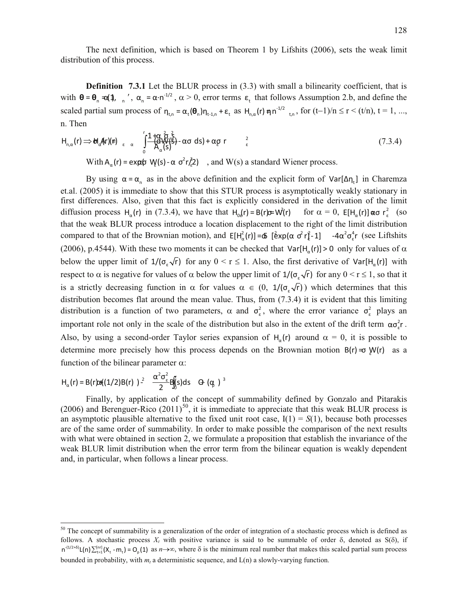The next definition, which is based on Theorem 1 by Lifshits (2006), sets the weak limit distribution of this process.

**Definition 7.3.1** Let the BLUR process in (3.3) with small a bilinearity coefficient, that is with  $\theta = \theta_n = \alpha(1), \ldots, \alpha_n = \alpha \cdot n^{-1/2}, \alpha > 0$ , error terms  $\epsilon_t$  that follows Assumption 2.b, and define the scaled partial sum process of  $\eta_{t,n} = \alpha_t(\theta_n)\eta_{t-1,n} + \varepsilon_t$  as  $H_{n,\alpha}(r) \eta n^{-1/2}$ <sub>t,n</sub>, for  $(t-1)/n \le r < (t/n)$ ,  $t = 1, ...,$ n. Then

$$
H_{n,\alpha}(r) \Rightarrow \mathbf{U}_{\alpha}(\mathbf{A}r)(r) \underset{\varepsilon}{\longrightarrow} \alpha \quad \int_{0}^{r} \frac{1+\alpha \frac{2}{3}}{A_{\alpha}(\mathbf{s})^{2}} \cdot \alpha \sigma \, d\mathbf{s} + \alpha \sigma \, r \quad \frac{2}{\varepsilon}
$$
 (7.3.4)

With  $A_{\alpha}(r) = \exp(\phi \ W(s) - \alpha \ \sigma^2 r/2)$ , and W(s) a standard Wiener process.

By using  $\alpha = \alpha_n$  as in the above definition and the explicit form of  $Var[\Delta \eta_t]$  in Charemza et.al. (2005) it is immediate to show that this STUR process is asymptotically weakly stationary in first differences. Also, given that this fact is explicitly considered in the derivation of the limit diffusion process H<sub>a</sub>(r) in (7.3.4), we have that H<sub>o</sub>(r) = B(r)  $\pi$ W(r) for  $\alpha = 0$ , E[H<sub>a</sub>(r)] as r<sup>2</sup><sub>ε</sub> (so that the weak BLUR process introduce a location displacement to the right of the limit distribution compared to that of the Brownian motion), and  $E[H_\alpha^2(r)] = \Phi$  [ $\hat{e} \times p(\alpha \sigma^2 r_\ell^2 - 1)$  -4 $\alpha^2 \sigma_\epsilon^4 r$  (see Liftshits (2006), p.4544). With these two moments it can be checked that  $Var[H_{\alpha}(r)] > 0$  only for values of  $\alpha$ below the upper limit of  $1/(\sigma_{\epsilon}\sqrt{r})$  for any  $0 \le r \le 1$ . Also, the first derivative of  $Var[H_{\alpha}(r)]$  with respect to  $\alpha$  is negative for values of  $\alpha$  below the upper limit of  $1/(\sigma_{\epsilon}\sqrt{r})$  for any  $0 \le r \le 1$ , so that it is a strictly decreasing function in  $\alpha$  for values  $\alpha \in (0, 1/(\sigma_{\epsilon}\sqrt{r}))$  which determines that this distribution becomes flat around the mean value. Thus, from (7.3.4) it is evident that this limiting distribution is a function of two parameters,  $\alpha$  and  $\sigma_{\epsilon}^2$ , where the error variance  $\sigma_{\epsilon}^2$  plays an important role not only in the scale of the distribution but also in the extent of the drift term  $\alpha \sigma_{\epsilon}^2 r$ . Also, by using a second-order Taylor series expansion of  $H_{\alpha}(r)$  around  $\alpha = 0$ , it is possible to determine more precisely how this process depends on the Brownian motion  $B(r) = \Phi W(r)$  as a function of the bilinear parameter  $\alpha$ :

$$
H_{\alpha}(r) = B(r)\omega((1/2)B(r))^{2} \quad \frac{\alpha^{2}\sigma_{\varepsilon}^{2}}{2}B_{\alpha}^{f}(s)ds \quad \Theta_{\alpha}(q) \quad \text{or} \quad \frac{\sigma_{\alpha}}{2}
$$

 $\overline{\phantom{a}}$ 

Finally, by application of the concept of summability defined by Gonzalo and Pitarakis (2006) and Berenguer-Rico  $(2011)^{50}$ , it is immediate to appreciate that this weak BLUR process is an asymptotic plausible alternative to the fixed unit root case,  $I(1) = S(1)$ , because both processes are of the same order of summability. In order to make possible the comparison of the next results with what were obtained in section 2, we formulate a proposition that establish the invariance of the weak BLUR limit distribution when the error term from the bilinear equation is weakly dependent and, in particular, when follows a linear process.

 $50$  The concept of summability is a generalization of the order of integration of a stochastic process which is defined as follows. A stochastic process  $X_t$  with positive variance is said to be summable of order  $\delta$ , denoted as  $S(\delta)$ , if  $n^{(1/2+\delta)} L(n) \sum_{t=1}^{[n\tau]} (X_t - m_t) = O_p(1)$  as  $n \to \infty$ , where  $\delta$  is the minimum real number that makes this scaled partial sum process bounded in probability, with *m<sup>t</sup>* a deterministic sequence, and L(n) a slowly-varying function.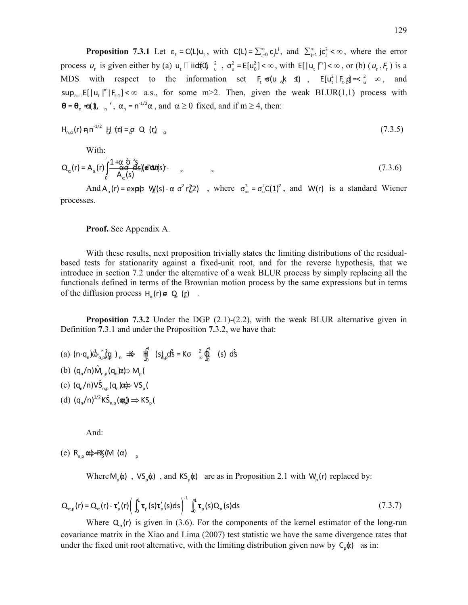**Proposition 7.3.1** Let  $\varepsilon_t = C(L)u_t$ , with  $C(L) = \sum_{j=0}^{\infty} c_j L^j$ , and  $\sum_{j=1}^{\infty} j c_j^2 < \infty$ , where the error process  $u_t$  is given either by (a)  $u_t \square$  iid(0)  $\frac{2}{u}$ ,  $\sigma_u^2 = E[u_0^2] < \infty$ , with  $E[|u_t|^m] < \infty$ , or (b)  $(u_t, F_t)$  is a MDS with respect to the information set  $F_t = \sigma(u_{ik} k \leq 1)$ ,  $E[u_t^2 | F_t] = \sigma^2$ , and  $sup_{t \in I} E[|u_t|^m |F_{t-1}] < \infty$  a.s., for some m>2. Then, given the weak BLUR(1,1) process with  $\theta = \theta_n = \alpha(1), \dots, \alpha_n = n^{-1/2}\alpha$ , and  $\alpha \ge 0$  fixed, and if m  $\ge 4$ , then:

$$
H_{n,\alpha}(r) \eta n^{-1/2} \text{ H of } r \text{ is a constant.} \tag{7.3.5}
$$

With:

$$
Q_{\alpha}(r) = A_{\alpha}(r) \int_{0}^{r} \frac{1 + \alpha \frac{\partial}{\partial \theta} \frac{2}{\partial S}}{A_{\alpha}(s)} d\theta d\theta d\theta s
$$
 (7.3.6)

And  $A_{\alpha}(r) = \exp(\phi \sqrt{g(s)} - \alpha \sigma^2 r_{\alpha}^2)$ , where  $\sigma_{\infty}^2 = \sigma_{\alpha}^2 C(1)^2$ , and  $W(r)$  is a standard Wiener processes.

### **Proof.** See Appendix A.

With these results, next proposition trivially states the limiting distributions of the residualbased tests for stationarity against a fixed-unit root, and for the reverse hypothesis, that we introduce in section 7.2 under the alternative of a weak BLUR process by simply replacing all the functionals defined in terms of the Brownian motion process by the same expressions but in terms of the diffusion process  $H_{\alpha}(r) = Q_{\alpha}(r)$ .

**Proposition 7.3.2** Under the DGP (2.1)-(2.2), with the weak BLUR alternative given in Definition **7.**3.1 and under the Proposition **7.**3.2, we have that:

- (a)  $(n \cdot q_n) \vec{b} \hat{a} \cdot \vec{b} q$  )  $n \implies \vec{b} \cdot \vec{d} \cdot (s) \cdot d \vec{s} = K \sigma \hat{a} \cdot \vec{b} \cdot (s) \cdot d \vec{s}$  $(n \cdot q_n) \dot{\omega}_{\alpha,p} (q)$ ,  $\Rightarrow$   $\frac{11}{2}$   $(s)$ ,  $(s)$   $d\sin \theta$   $(s)$   $d\sin \theta$ (b)  $(q_n/n)\hat{M}_{n,p}(q_n)p \Rightarrow M_p(n)$ (c)  $(q_n/n)V\hat{S}_{n,p}(q_n)x \nleftrightarrow VS_p($
- (d)  $(q_n/n)^{1/2} K\hat{S}_{n,p}(\mathbf{q},\mathbf{r}) \Rightarrow KS_p(\mathbf{r})$

And:

(e)  $\overline{R}_{\text{eq}} \propto \Rightarrow R_{\text{N}}(M \alpha)$ 

Where  $M_p(\alpha)$ ,  $VS_p(\alpha)$ , and  $KS_p(\alpha)$  are as in Proposition 2.1 with  $W_p(r)$  replaced by:

$$
Q_{\alpha,p}(r) = Q_{\alpha}(r) - \tau'_{p}(r) \left( \int_0^1 \tau_{p}(s) \tau'_{p}(s) ds \right)^{-1} \int_0^1 \tau_{p}(s) Q_{\alpha}(s) ds \tag{7.3.7}
$$

Where  $Q_{\alpha}(r)$  is given in (3.6). For the components of the kernel estimator of the long-run covariance matrix in the Xiao and Lima (2007) test statistic we have the same divergence rates that under the fixed unit root alternative, with the limiting distribution given now by  $C_p(x)$  as in: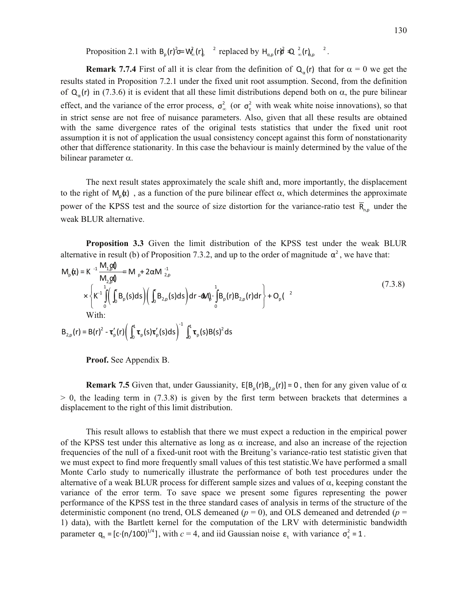Proposition 2.1 with  $B_p(r)$ <sup>2</sup> = W<sub>a</sub> $(r)$ <sup>2</sup> replaced by  $H_{\alpha,p}(r)$ <sup>2</sup>  $\oplus$   $\frac{2}{\infty}(r)$ <sub>*d*<sub>i</sub>, <sup>2</sup>.</sub>

**Remark 7.7.4** First of all it is clear from the definition of  $Q_{\alpha}(r)$  that for  $\alpha = 0$  we get the results stated in Proposition 7.2.1 under the fixed unit root assumption. Second, from the definition of  $Q_{\alpha}(r)$  in (7.3.6) it is evident that all these limit distributions depend both on  $\alpha$ , the pure bilinear effect, and the variance of the error process,  $\sigma_{\infty}^2$  (or  $\sigma_{\epsilon}^2$  with weak white noise innovations), so that in strict sense are not free of nuisance parameters. Also, given that all these results are obtained with the same divergence rates of the original tests statistics that under the fixed unit root assumption it is not of application the usual consistency concept against this form of nonstationarity other that difference stationarity. In this case the behaviour is mainly determined by the value of the bilinear parameter  $\alpha$ .

The next result states approximately the scale shift and, more importantly, the displacement to the right of  $M_{n}(x)$ , as a function of the pure bilinear effect  $\alpha$ , which determines the approximate power of the KPSS test and the source of size distortion for the variance-ratio test  $\overline{R}_{n,p}$  under the weak BLUR alternative.

**Proposition 3.3** Given the limit distribution of the KPSS test under the weak BLUR alternative in result (b) of Proposition 7.3.2, and up to the order of magnitude  $\alpha^2$ , we have that:

$$
M_{p}(\mathbf{t}) = K^{-1} \frac{M_{1,p}(\mathbf{t})}{M_{2,p}(\mathbf{t})} = M_{p} + 2\alpha M_{2,p}^{-1}
$$
\n
$$
\times \left\{ K^{-1} \int_{0}^{1} \left( \int_{0}^{1} B_{p}(s)ds \right) \left( \int_{0}^{1} B_{2,p}(s)ds \right) dr - dM_{p} \cdot \int_{0}^{1} B_{p}(r)B_{2,p}(r)dr \right\} + O_{p}(2)
$$
\n
$$
\text{With:}
$$
\n
$$
B_{2,p}(r) = B(r)^{2} - \tau_{p}'(r) \left( \int_{0}^{1} \tau_{p}(s) \tau_{p}'(s)ds \right)^{-1} \int_{0}^{1} \tau_{p}(s)B(s)^{2}ds
$$
\n(7.3.8)

**Proof.** See Appendix B.

**Remark 7.5** Given that, under Gaussianity,  $E[B_p(r)B_{2,p}(r)] = 0$ , then for any given value of  $\alpha$  $> 0$ , the leading term in (7.3.8) is given by the first term between brackets that determines a displacement to the right of this limit distribution.

This result allows to establish that there we must expect a reduction in the empirical power of the KPSS test under this alternative as long as  $\alpha$  increase, and also an increase of the rejection frequencies of the null of a fixed-unit root with the Breitung's variance-ratio test statistic given that we must expect to find more frequently small values of this test statistic.We have performed a small Monte Carlo study to numerically illustrate the performance of both test procedures under the alternative of a weak BLUR process for different sample sizes and values of  $\alpha$ , keeping constant the variance of the error term. To save space we present some figures representing the power performance of the KPSS test in the three standard cases of analysis in terms of the structure of the deterministic component (no trend, OLS demeaned  $(p = 0)$ , and OLS demeaned and detrended  $(p = 0)$ 1) data), with the Bartlett kernel for the computation of the LRV with deterministic bandwidth parameter  $q_n = [c \cdot (n/100)]^{1/4}$ , with  $c = 4$ , and iid Gaussian noise  $\epsilon_t$  with variance  $\sigma_{\epsilon}^2 = 1$ .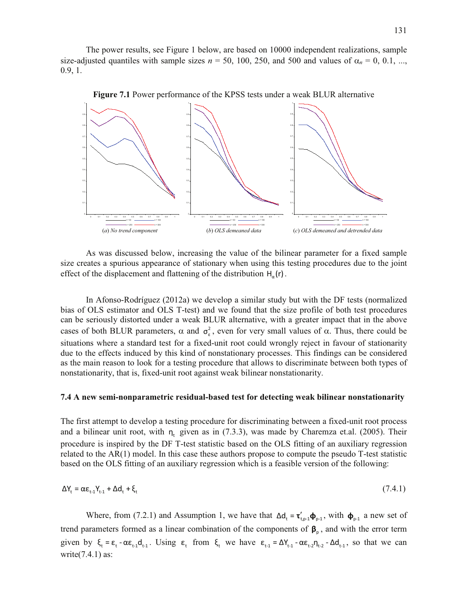The power results, see Figure 1 below, are based on 10000 independent realizations, sample size-adjusted quantiles with sample sizes  $n = 50$ , 100, 250, and 500 and values of  $\alpha_n = 0, 0.1, \dots$ , 0.9, 1.



**Figure 7.1** Power performance of the KPSS tests under a weak BLUR alternative

As was discussed below, increasing the value of the bilinear parameter for a fixed sample size creates a spurious appearance of stationary when using this testing procedures due to the joint effect of the displacement and flattening of the distribution  $H_{\alpha}(r)$ .

In Afonso-Rodríguez (2012a) we develop a similar study but with the DF tests (normalized bias of OLS estimator and OLS T-test) and we found that the size profile of both test procedures can be seriously distorted under a weak BLUR alternative, with a greater impact that in the above cases of both BLUR parameters,  $\alpha$  and  $\sigma_{\epsilon}^2$ , even for very small values of  $\alpha$ . Thus, there could be situations where a standard test for a fixed-unit root could wrongly reject in favour of stationarity due to the effects induced by this kind of nonstationary processes. This findings can be considered as the main reason to look for a testing procedure that allows to discriminate between both types of nonstationarity, that is, fixed-unit root against weak bilinear nonstationarity.

#### **7.4 A new semi-nonparametric residual-based test for detecting weak bilinear nonstationarity**

The first attempt to develop a testing procedure for discriminating between a fixed-unit root process and a bilinear unit root, with  $n_t$  given as in (7.3.3), was made by Charemza et.al. (2005). Their procedure is inspired by the DF T-test statistic based on the OLS fitting of an auxiliary regression related to the AR(1) model. In this case these authors propose to compute the pseudo T-test statistic based on the OLS fitting of an auxiliary regression which is a feasible version of the following:

$$
\Delta Y_t = \alpha \varepsilon_{t-1} Y_{t-1} + \Delta d_t + \xi_t \tag{7.4.1}
$$

Where, from (7.2.1) and Assumption 1, we have that  $\Delta d_t = \tau_{t,p-1}' \phi_{p-1}$ , with  $\phi_{p-1}$  a new set of trend parameters formed as a linear combination of the components of  $\beta_{p}$ , and with the error term given by  $\xi_t = \varepsilon_t - \alpha \varepsilon_{t-1} d_{t-1}$ . Using  $\varepsilon_t$  from  $\xi_t$  we have  $\varepsilon_{t-1} = \Delta Y_{t-1} - \alpha \varepsilon_{t-2} \eta_{t-2} - \Delta d_{t-1}$ , so that we can write $(7.4.1)$  as: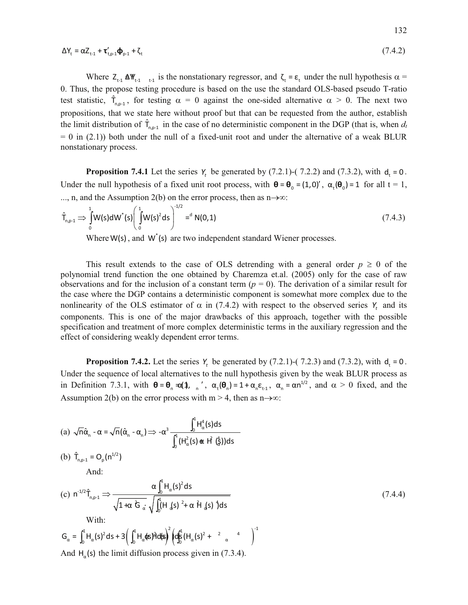$$
\Delta Y_{t} = \alpha Z_{t-1} + \tau_{t,p-1}' \Phi_{p-1} + \zeta_{t}
$$
\n
$$
(7.4.2)
$$

Where  $Z_{t-1}$   $\Delta W_{t-1}$  is the nonstationary regressor, and  $\zeta_t = \varepsilon_t$  under the null hypothesis  $\alpha =$ 0. Thus, the propose testing procedure is based on the use the standard OLS-based pseudo T-ratio test statistic,  $\hat{T}_{n,p-1}$ , for testing  $\alpha = 0$  against the one-sided alternative  $\alpha > 0$ . The next two propositions, that we state here without proof but that can be requested from the author, establish the limit distribution of  $\hat{\tau}_{n,p-1}$  in the case of no deterministic component in the DGP (that is, when  $d_t$  $= 0$  in (2.1)) both under the null of a fixed-unit root and under the alternative of a weak BLUR nonstationary process.

**Proposition 7.4.1** Let the series  $Y_t$  be generated by (7.2.1)-(7.2.2) and (7.3.2), with  $d_t = 0$ . Under the null hypothesis of a fixed unit root process, with  $\theta = \theta_0 = (1,0)'$ ,  $\alpha_t(\theta_0) = 1$  for all  $t = 1$ , ..., n, and the Assumption 2(b) on the error process, then as  $n\rightarrow\infty$ :

$$
\hat{T}_{n,p-1} \Rightarrow \int_{0}^{1} W(s) dW^{*}(s) \left(\int_{0}^{1} W(s)^{2} ds\right)^{-1/2} = d N(0,1)
$$
\n(7.4.3)

Where  $W(s)$ , and  $W<sup>*</sup>(s)$  are two independent standard Wiener processes.

This result extends to the case of OLS detrending with a general order  $p \geq 0$  of the polynomial trend function the one obtained by Charemza et.al. (2005) only for the case of raw observations and for the inclusion of a constant term  $(p = 0)$ . The derivation of a similar result for the case where the DGP contains a deterministic component is somewhat more complex due to the nonlinearity of the OLS estimator of  $\alpha$  in (7.4.2) with respect to the observed series  $Y_t$  and its components. This is one of the major drawbacks of this approach, together with the possible specification and treatment of more complex deterministic terms in the auxiliary regression and the effect of considering weakly dependent error terms.

**Proposition 7.4.2.** Let the series  $Y_t$  be generated by (7.2.1)-(7.2.3) and (7.3.2), with  $d_t = 0$ . Under the sequence of local alternatives to the null hypothesis given by the weak BLUR process as in Definition 7.3.1, with  $\theta = \theta_n = \alpha(1, \ldots, \alpha_t(\theta_n)) = 1 + \alpha_n \epsilon_{t-1}, \alpha_n = \alpha n^{1/2}$ , and  $\alpha > 0$  fixed, and the Assumption 2(b) on the error process with  $m > 4$ , then as  $n \rightarrow \infty$ :

(a) 
$$
\sqrt{n}\hat{\alpha}_n - \alpha = \sqrt{n}(\hat{\alpha}_n - \alpha_n) \Longrightarrow -\alpha^3 \frac{\int_0^1 H_\alpha^4(s)ds}{\int_0^1 (H_\alpha^2(s) \mathbf{\alpha} t f(\frac{t}{\alpha}))ds}
$$

(b) 
$$
\hat{T}_{n,p-1} = O_p(n^{1/2})
$$

And:

(c) 
$$
n^{-1/2} \hat{T}_{n,p-1} \Rightarrow \frac{\alpha \int_0^4 H_\alpha(s)^2 ds}{\sqrt{1 + \alpha^2 G_\alpha} \sqrt{\int_0^4 (H_\alpha(s)^2 + \alpha \hat{H}_\alpha(s) \hat{J} ds)}}
$$
  
\nWith:  
\n
$$
G_\alpha = \int_0^4 H_\alpha(s)^2 ds + 3 \left( \int_0^4 H_\alpha(\alpha) \hat{J} d\alpha(s) \right)^2 \left( d\hat{J}_\alpha^2 (H_\alpha(s)^2 + \alpha \hat{J}_\alpha) \right)^{-1}
$$

And  $H_{\alpha}$ (s) the limit diffusion process given in (7.3.4).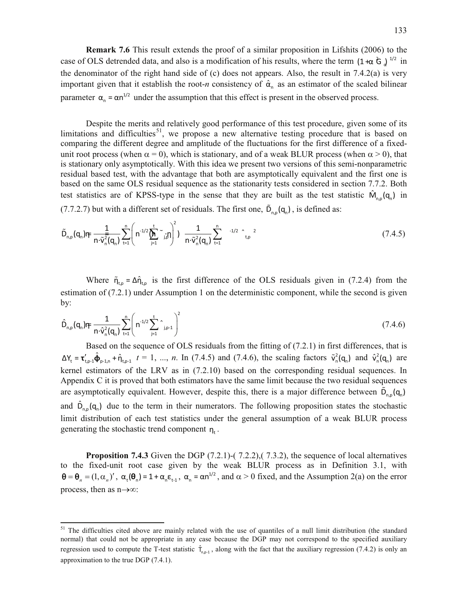**Remark 7.6** This result extends the proof of a similar proposition in Lifshits (2006) to the case of OLS detrended data, and also is a modification of his results, where the term  $(1+\alpha \hat{G})^{1/2}$  in the denominator of the right hand side of (c) does not appears. Also, the result in 7.4.2(a) is very important given that it establish the root-*n* consistency of  $\hat{\alpha}_n$  as an estimator of the scaled bilinear parameter  $\alpha_n = \alpha n^{1/2}$  under the assumption that this effect is present in the observed process.

Despite the merits and relatively good performance of this test procedure, given some of its limitations and difficulties<sup>51</sup>, we propose a new alternative testing procedure that is based on test statistics are of KPSS-type in the sense that they are built as the test statistic  $\hat{M}_{n,p}(q_n)$  in comparing the different degree and amplitude of the fluctuations for the first difference of a fixedunit root process (when  $\alpha = 0$ ), which is stationary, and of a weak BLUR process (when  $\alpha > 0$ ), that is stationary only asymptotically. With this idea we present two versions of this semi-nonparametric residual based test, with the advantage that both are asymptotically equivalent and the first one is based on the same OLS residual sequence as the stationarity tests considered in section 7.7.2. Both (7.7.2.7) but with a different set of residuals. The first one,  $\tilde{D}_{n,p}(q_n)$ , is defined as:

$$
\tilde{D}_{n,p}(q_n) \text{Tr} \frac{1}{n \cdot \tilde{V}_n^2(q_n)} \sum_{t=1}^n \left( n^{-1/2} \sum_{j=1}^t \tilde{V}_{j,p}^2 \right)^2) \frac{1}{n \cdot \tilde{V}_n^2(q_n)} \sum_{t=1}^n \zeta_{t,p}^{-1/2} \hat{V}_{t,p}^{-2} \tag{7.4.5}
$$

Where  $\tilde{\eta}_{t,p} = \Delta \hat{\eta}_{t,p}$  is the first difference of the OLS residuals given in (7.2.4) from the estimation of (7.2.1) under Assumption 1 on the deterministic component, while the second is given by:

$$
\hat{D}_{n,p}(q_n) \eta \tau = \frac{1}{n \cdot \hat{v}_n^2(q_n)} \sum_{t=1}^n \left( n^{-1/2} \sum_{j=1}^t \hat{v}_{j,p-1} \right)^2
$$
\n(7.4.6)

Based on the sequence of OLS residuals from the fitting of (7.2.1) in first differences, that is  $\Delta Y_t = \tau'_{t,p-1} \hat{\Phi}_{p-1,n} + \hat{\eta}_{t,p-1}$   $t = 1, ..., n$ . In (7.4.5) and (7.4.6), the scaling factors  $\tilde{v}_n^2(\mathbf{q}_n)$  and  $\hat{v}_n^2(\mathbf{q}_n)$  are kernel estimators of the LRV as in (7.2.10) based on the corresponding residual sequences. In Appendix C it is proved that both estimators have the same limit because the two residual sequences are asymptotically equivalent. However, despite this, there is a major difference between  $\tilde{D}_{n,p}(q_n)$ and  $\hat{D}_{n,p}(\mathbf{q}_n)$  due to the term in their numerators. The following proposition states the stochastic limit distribution of each test statistics under the general assumption of a weak BLUR process generating the stochastic trend component  $n_t$ .

**Proposition 7.4.3** Given the DGP (7.2.1)-(7.2.2), (7.3.2), the sequence of local alternatives to the fixed-unit root case given by the weak BLUR process as in Definition 3.1, with  $\theta = \theta_n = (1, \alpha_n)'$ ,  $\alpha_t(\theta_n) = 1 + \alpha_n \epsilon_{t-1}$ ,  $\alpha_n = \alpha n^{1/2}$ , and  $\alpha > 0$  fixed, and the Assumption 2(a) on the error process, then as  $n \rightarrow \infty$ :

 $51\,$ <sup>51</sup> The difficulties cited above are mainly related with the use of quantiles of a null limit distribution (the standard normal) that could not be appropriate in any case because the DGP may not correspond to the specified auxiliary regression used to compute the T-test statistic  $\hat{T}_{n,p-1}$ , along with the fact that the auxiliary regression (7.4.2) is only an approximation to the true DGP (7.4.1).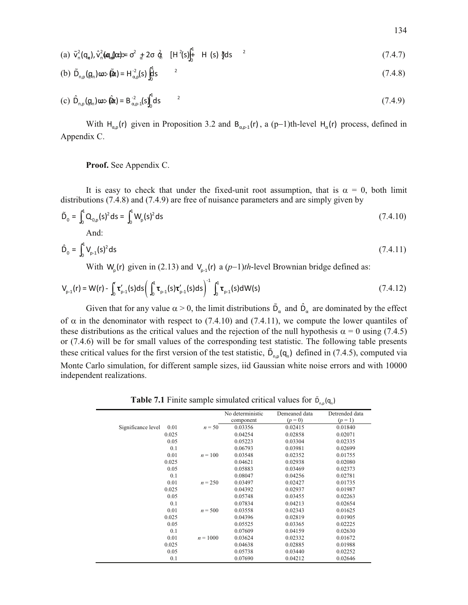(a) 
$$
\tilde{v}_n^2(q_n)
$$
,  $\hat{v}_n^2(\mathbf{q}_n|\mathbf{r}) = \sigma^2 + 2\sigma \hat{g}$  [H<sup>2</sup>(s)]<sup>1</sup><sub>0</sub> H (s) <sup>1</sup>/<sub>2</sub> ds <sup>2</sup> (7.4.7)

(b) 
$$
\tilde{D}_{n,p}(q_n) \omega \gg \tilde{Q} \omega = H_{\alpha,p}^2(s) \int_0^1 \text{d}s
$$
 (7.4.8)

(c) 
$$
\hat{D}_{n,p}(q_n) \oplus \hat{q}_n = B_{\alpha,p-1}^{-2}(s) \int_0^1 ds
$$
 (7.4.9)

With  $H_{\alpha,p}(r)$  given in Proposition 3.2 and  $B_{\alpha,p-1}(r)$ , a (p-1)th-level  $H_{\alpha}(r)$  process, defined in Appendix C.

**Proof.** See Appendix C.

It is easy to check that under the fixed-unit root assumption, that is  $\alpha = 0$ , both limit distributions (7.4.8) and (7.4.9) are free of nuisance parameters and are simply given by

$$
\tilde{D}_0 = \int_0^1 Q_{0,p}(s)^2 ds = \int_0^1 W_p(s)^2 ds
$$
\n(7.4.10)

And:

$$
\hat{D}_0 = \int_0^1 V_{p-1}(s)^2 ds \tag{7.4.11}
$$

With  $W_p(r)$  given in (2.13) and  $V_{p-1}(r)$  a  $(p-1)th$ -level Brownian bridge defined as:

$$
V_{p-1}(r) = W(r) - \int_0^r \tau'_{p-1}(s)ds \left( \int_0^1 \tau_{p-1}(s) \tau'_{p-1}(s)ds \right)^{-1} \int_0^1 \tau_{p-1}(s) dW(s)
$$
\n(7.4.12)

Given that for any value  $\alpha > 0$ , the limit distributions  $\tilde{D}_{\alpha}$  and  $\hat{D}_{\alpha}$  are dominated by the effect of  $\alpha$  in the denominator with respect to (7.4.10) and (7.4.11), we compute the lower quantiles of these distributions as the critical values and the rejection of the null hypothesis  $\alpha = 0$  using (7.4.5) or (7.4.6) will be for small values of the corresponding test statistic. The following table presents these critical values for the first version of the test statistic,  $\tilde{D}_{n,p}(q_n)$  defined in (7.4.5), computed via Monte Carlo simulation, for different sample sizes, iid Gaussian white noise errors and with 10000 independent realizations.

**Table 7.1** Finite sample simulated critical values for  $\tilde{D}_{n,p}(q_n)$ 

|                            |            | No deterministic | Demeaned data | Detrended data |
|----------------------------|------------|------------------|---------------|----------------|
|                            |            | component        | $(p = 0)$     | $(p = 1)$      |
| Significance level<br>0.01 | $n = 50$   | 0.03356          | 0.02415       | 0.01840        |
| 0.025                      |            | 0.04254          | 0.02858       | 0.02071        |
| 0.05                       |            | 0.05223          | 0.03304       | 0.02335        |
| 0.1                        |            | 0.06793          | 0.03981       | 0.02699        |
| 0.01                       | $n = 100$  | 0.03548          | 0.02352       | 0.01755        |
| 0.025                      |            | 0.04621          | 0.02938       | 0.02080        |
| 0.05                       |            | 0.05883          | 0.03469       | 0.02373        |
| 0.1                        |            | 0.08047          | 0.04256       | 0.02781        |
| 0.01                       | $n = 250$  | 0.03497          | 0.02427       | 0.01735        |
| 0.025                      |            | 0.04392          | 0.02937       | 0.01987        |
| 0.05                       |            | 0.05748          | 0.03455       | 0.02263        |
| 0.1                        |            | 0.07834          | 0.04213       | 0.02654        |
| 0.01                       | $n = 500$  | 0.03558          | 0.02343       | 0.01625        |
| 0.025                      |            | 0.04396          | 0.02819       | 0.01905        |
| 0.05                       |            | 0.05525          | 0.03365       | 0.02225        |
| 0.1                        |            | 0.07609          | 0.04159       | 0.02630        |
| 0.01                       | $n = 1000$ | 0.03624          | 0.02332       | 0.01672        |
| 0.025                      |            | 0.04638          | 0.02885       | 0.01988        |
| 0.05                       |            | 0.05738          | 0.03440       | 0.02252        |
| 0.1                        |            | 0.07690          | 0.04212       | 0.02646        |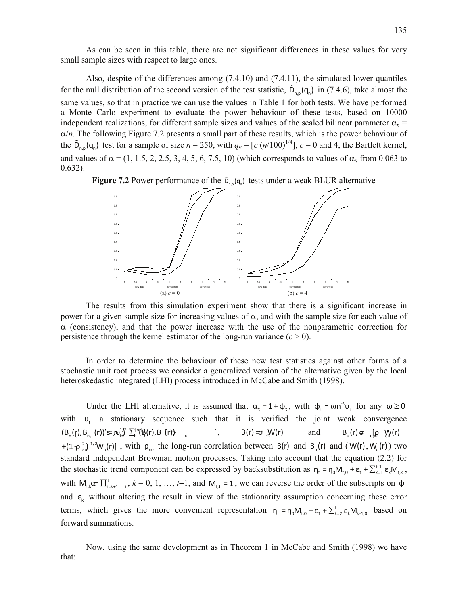As can be seen in this table, there are not significant differences in these values for very small sample sizes with respect to large ones.

Also, despite of the differences among (7.4.10) and (7.4.11), the simulated lower quantiles for the null distribution of the second version of the test statistic,  $\hat{D}_{n,p}(q_n)$  in (7.4.6), take almost the same values, so that in practice we can use the values in Table 1 for both tests. We have performed a Monte Carlo experiment to evaluate the power behaviour of these tests, based on 10000 independent realizations, for different sample sizes and values of the scaled bilinear parameter  $\alpha_n$  =  $\alpha/n$ . The following Figure 7.2 presents a small part of these results, which is the power behaviour of the  $\tilde{D}_{n,p}(q_n)$  test for a sample of size  $n = 250$ , with  $q_n = [c \cdot (n/100)^{1/4}]$ ,  $c = 0$  and 4, the Bartlett kernel, and values of  $\alpha$  = (1, 1.5, 2, 2.5, 3, 4, 5, 6, 7.5, 10) (which corresponds to values of  $\alpha$ <sup>n</sup> from 0.063 to 0.632).





The results from this simulation experiment show that there is a significant increase in power for a given sample size for increasing values of  $\alpha$ , and with the sample size for each value of  $\alpha$  (consistency), and that the power increase with the use of the nonparametric correction for persistence through the kernel estimator of the long-run variance  $(c > 0)$ .

In order to determine the behaviour of these new test statistics against other forms of a stochastic unit root process we consider a generalized version of the alternative given by the local heteroskedastic integrated (LHI) process introduced in McCabe and Smith (1998).

Under the LHI alternative, it is assumed that  $\alpha_t = 1 + \phi_t$ , with  $\phi_t = \omega n^{\lambda} v_t$  for any  $\omega \ge 0$ with  $u_t$  a stationary sequence such that it is verified the joint weak convergence  $(B_n(r),B_n(r))' \cong \mathbf{N}_t^1 \mathbf{N}_t \sum_{i=1}^{n} (\mathbf{R}(r),B_i(r))$  ,  $\qquad \qquad$  ',  $\qquad \qquad B(r) = \mathbf{N}(r)$ and  $B_{\upsilon}(r) = \iint_R \psi(r)$ +(1  $\varphi_e^2$ )<sup>1/2</sup>W (r)], with  $\rho_{\epsilon\upsilon}$  the long-run correlation between B(r) and B<sub>u</sub>(r) and (W(r), W<sub>u</sub>(r)) two standard independent Brownian motion processes. Taking into account that the equation (2.2) for the stochastic trend component can be expressed by backsubstitution as  $n_t = n_0 M_{t,0} + \varepsilon_t + \sum_{k=1}^{t-1} \varepsilon_k M_{t,k}$ , with  $M_{t,k}$   $\alpha$   $\prod_{i=k+1}^{t}$ ,  $k = 0, 1, ..., t-1$ , and  $M_{t,t} = 1$ , we can reverse the order of the subscripts on  $\phi$ <sub>i</sub> and  $\epsilon_k$  without altering the result in view of the stationarity assumption concerning these error terms, which gives the more convenient representation  $n_t = n_0 M_{t,0} + \varepsilon_1 + \sum_{k=2}^{t} \varepsilon_k M_{k-1,0}$  based on forward summations.

Now, using the same development as in Theorem 1 in McCabe and Smith (1998) we have that: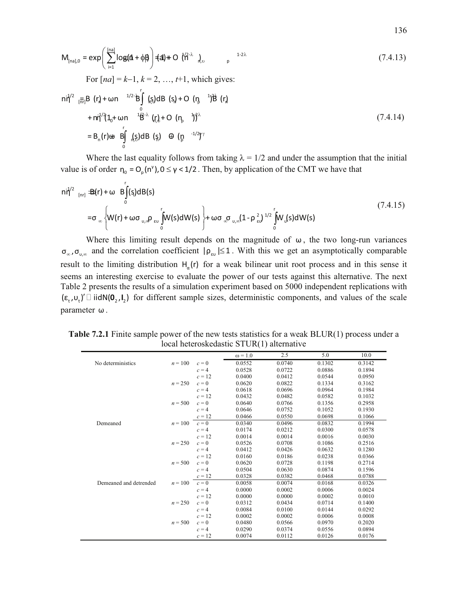$$
M_{[na],0} = \exp\left(\sum_{i=1}^{[na]} log(\hat{\mathbf{a}} + \phi) + \mathbf{1} \cdot \mathbf{1} \cdot \mathbf{1} \cdot \mathbf{1} \cdot \mathbf{1} \cdot \mathbf{1} \cdot \mathbf{1} \cdot \mathbf{1} \cdot \mathbf{1} \cdot \mathbf{1} \cdot \mathbf{1} \cdot \mathbf{1} \cdot \mathbf{1} \cdot \mathbf{1} \cdot \mathbf{1} \cdot \mathbf{1} \cdot \mathbf{1} \cdot \mathbf{1} \cdot \mathbf{1} \cdot \mathbf{1} \cdot \mathbf{1} \cdot \mathbf{1} \cdot \mathbf{1} \cdot \mathbf{1} \cdot \mathbf{1} \cdot \mathbf{1} \cdot \mathbf{1} \cdot \mathbf{1} \cdot \mathbf{1} \cdot \mathbf{1} \cdot \mathbf{1} \cdot \mathbf{1} \cdot \mathbf{1} \cdot \mathbf{1} \cdot \mathbf{1} \cdot \mathbf{1} \cdot \mathbf{1} \cdot \mathbf{1} \cdot \mathbf{1} \cdot \mathbf{1} \cdot \mathbf{1} \cdot \mathbf{1} \cdot \mathbf{1} \cdot \mathbf{1} \cdot \mathbf{1} \cdot \mathbf{1} \cdot \mathbf{1} \cdot \mathbf{1} \cdot \mathbf{1} \cdot \mathbf{1} \cdot \mathbf{1} \cdot \mathbf{1} \cdot \mathbf{1} \cdot \mathbf{1} \cdot \mathbf{1} \cdot \mathbf{1} \cdot \mathbf{1} \cdot \mathbf{1} \cdot \mathbf{1} \cdot \mathbf{1} \cdot \mathbf{1} \cdot \mathbf{1} \cdot \mathbf{1} \cdot \mathbf{1} \cdot \mathbf{1} \cdot \mathbf{1} \cdot \mathbf{1} \cdot \mathbf{1} \cdot \mathbf{1} \cdot \mathbf{1} \cdot \mathbf{1} \cdot \mathbf{1} \cdot \mathbf{1} \cdot \mathbf{1} \cdot \mathbf{1} \cdot \mathbf{1} \cdot \mathbf{1} \cdot \mathbf{1} \cdot \mathbf{1} \cdot \mathbf{1} \cdot \mathbf{1} \cdot \mathbf{1} \cdot \mathbf{1} \cdot \mathbf{1} \cdot \mathbf{1} \cdot \mathbf{1} \cdot \mathbf{1} \cdot \mathbf{1} \cdot \mathbf{1} \cdot \mathbf{1} \cdot \math
$$

Where the last equality follows from taking  $\lambda = 1/2$  and under the assumption that the initial value is of order  $\eta_0 = O_p(n^{\gamma})$ ,  $0 \le \gamma < 1/2$ . Then, by application of the CMT we have that

$$
n\dot{\eta}^{2} \lim_{[n\eta]}\Delta(r) + \omega \mathbf{B}\int_{0}^{r}(\mathbf{s})dB(\mathbf{s})
$$
\n
$$
= \sigma_{\infty}\left\{W(r) + \omega\sigma_{\mathbf{U},\infty}\rho_{\text{ev}}\int_{0}^{r}W(\mathbf{s})dW(\mathbf{s})\right\} + \omega\sigma_{\infty}\sigma_{\mathbf{U},\infty}(1-\rho_{\text{ev}}^{2})^{1/2}\int_{0}^{r}W_{\mathbf{U}}(\mathbf{s})dW(\mathbf{s})
$$
\n(7.4.15)

Where this limiting result depends on the magnitude of  $\omega$ , the two long-run variances  $\sigma_{\infty}, \sigma_{\infty}$  and the correlation coefficient  $|\rho_{\epsilon\omega}| \leq 1$ . With this we get an asymptotically comparable result to the limiting distribution  $H_{\alpha}(r)$  for a weak bilinear unit root process and in this sense it seems an interesting exercise to evaluate the power of our tests against this alternative. The next Table 2 presents the results of a simulation experiment based on 5000 independent replications with  $(\epsilon_t, \nu_t)'$  iidN( $0_2, 1_2$ ) for different sample sizes, deterministic components, and values of the scale parameter  $\omega$ .

|                        |           |          | $\omega$ = 1.0 | 2.5    | 5.0    | 10.0   |
|------------------------|-----------|----------|----------------|--------|--------|--------|
| No deterministics      | $n = 100$ | $c=0$    | 0.0552         | 0.0740 | 0.1302 | 0.3142 |
|                        |           | $c = 4$  | 0.0528         | 0.0722 | 0.0886 | 0.1894 |
|                        |           | $c = 12$ | 0.0400         | 0.0412 | 0.0544 | 0.0950 |
|                        | $n = 250$ | $c=0$    | 0.0620         | 0.0822 | 0.1334 | 0.3162 |
|                        |           | $c=4$    | 0.0618         | 0.0696 | 0.0964 | 0.1984 |
|                        |           | $c = 12$ | 0.0432         | 0.0482 | 0.0582 | 0.1032 |
|                        | $n = 500$ | $c=0$    | 0.0640         | 0.0766 | 0.1356 | 0.2958 |
|                        |           | $c=4$    | 0.0646         | 0.0752 | 0.1052 | 0.1930 |
|                        |           | $c = 12$ | 0.0466         | 0.0550 | 0.0698 | 0.1066 |
| Demeaned               | $n = 100$ | $c=0$    | 0.0340         | 0.0496 | 0.0832 | 0.1994 |
|                        |           | $c=4$    | 0.0174         | 0.0212 | 0.0300 | 0.0578 |
|                        |           | $c = 12$ | 0.0014         | 0.0014 | 0.0016 | 0.0030 |
|                        | $n = 250$ | $c=0$    | 0.0526         | 0.0708 | 0.1086 | 0.2516 |
|                        |           | $c=4$    | 0.0412         | 0.0426 | 0.0632 | 0.1280 |
|                        |           | $c = 12$ | 0.0160         | 0.0186 | 0.0238 | 0.0366 |
|                        | $n = 500$ | $c=0$    | 0.0620         | 0.0728 | 0.1198 | 0.2714 |
|                        |           | $c=4$    | 0.0504         | 0.0630 | 0.0874 | 0.1596 |
|                        |           | $c = 12$ | 0.0328         | 0.0382 | 0.0468 | 0.0788 |
| Demeaned and detrended | $n = 100$ | $c=0$    | 0.0058         | 0.0074 | 0.0168 | 0.0326 |
|                        |           | $c=4$    | 0.0000         | 0.0002 | 0.0006 | 0.0024 |
|                        |           | $c = 12$ | 0.0000         | 0.0000 | 0.0002 | 0.0010 |
|                        | $n = 250$ | $c=0$    | 0.0312         | 0.0434 | 0.0714 | 0.1400 |
|                        |           | $c=4$    | 0.0084         | 0.0100 | 0.0144 | 0.0292 |
|                        |           | $c = 12$ | 0.0002         | 0.0002 | 0.0006 | 0.0008 |
|                        | $n = 500$ | $c=0$    | 0.0480         | 0.0566 | 0.0970 | 0.2020 |
|                        |           | $c = 4$  | 0.0290         | 0.0374 | 0.0556 | 0.0894 |
|                        |           | $c = 12$ | 0.0074         | 0.0112 | 0.0126 | 0.0176 |

**Table 7.2.1** Finite sample power of the new tests statistics for a weak BLUR(1) process under a local heteroskedastic STUR(1) alternative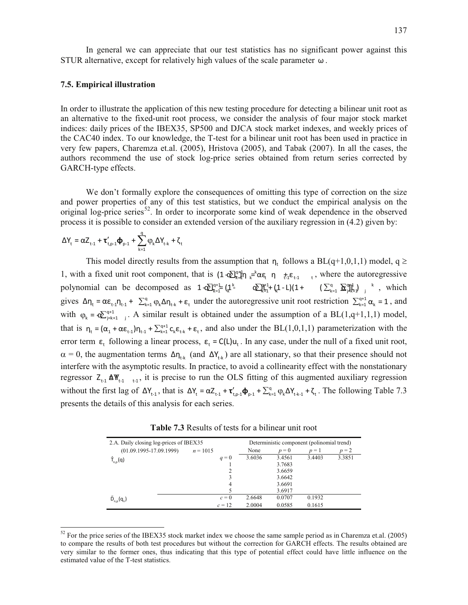In general we can appreciate that our test statistics has no significant power against this STUR alternative, except for relatively high values of the scale parameter  $\omega$ .

### **7.5. Empirical illustration**

In order to illustrate the application of this new testing procedure for detecting a bilinear unit root as an alternative to the fixed-unit root process, we consider the analysis of four major stock market indices: daily prices of the IBEX35, SP500 and DJCA stock market indexes, and weekly prices of the CAC40 index. To our knowledge, the T-test for a bilinear unit root has been used in practice in very few papers, Charemza et.al. (2005), Hristova (2005), and Tabak (2007). In all the cases, the authors recommend the use of stock log-price series obtained from return series corrected by GARCH-type effects.

We don't formally explore the consequences of omitting this type of correction on the size and power properties of any of this test statistics, but we conduct the empirical analysis on the original log-price series<sup>52</sup>. In order to incorporate some kind of weak dependence in the observed process it is possible to consider an extended version of the auxiliary regression in (4.2) given by:

$$
\Delta Y_t = \alpha Z_{t\text{-}1} + \tau_{t,p\text{-}1}'\pmb{\varphi}_{p\text{-}1} + \sum_{k=1}^q \phi_k \Delta Y_{t\text{-}k} + \zeta_t
$$

l

This model directly results from the assumption that  $n_t$  follows a BL(q+1,0,1,1) model, q  $\ge$ 1, with a fixed unit root component, that is  $(1-\delta \sum_{k=1}^{q+1} \eta_k e^k \alpha \epsilon_i \eta_{k-1} + \epsilon_{i+1} \epsilon_{i+1} + \epsilon_{i+1} \alpha \epsilon_i)$  where the autoregressive polynomial can be decomposed as  $1 \cdot \mathbb{Q}_{k=1}^{q+1} (\mathfrak{L}^k)$   $\mathbb{Q}_{k=1}^{q+1} (\mathfrak{L} - L)(1 + (\sum_{k=1}^q \mathbb{Q}_{k=1}^{q+1})_{n=1}^q)$ , which gives  $\Delta \eta_t = \alpha \epsilon_{t-1} \eta_{t-1} + \sum_{k=1}^q \varphi_k \Delta \eta_{t-k} + \epsilon_t$  under the autoregressive unit root restriction  $\sum_{k=1}^{q+1} \alpha_k = 1$ , and with  $\varphi_k = \mathbf{Q}_{j=k+1}^{\mathbf{q+1}}$  . A similar result is obtained under the assumption of a BL(1,q+1,1,1) model, that is  $\eta_t = (\alpha_1 + \alpha \epsilon_{t-1}) \eta_{t-1} + \sum_{k=1}^{q+1} c_k \epsilon_{t-k} + \epsilon_t$ , and also under the BL(1,0,1,1) parameterization with the error term  $\epsilon_t$  following a linear process,  $\epsilon_t = C(L)u_t$ . In any case, under the null of a fixed unit root,  $\alpha = 0$ , the augmentation terms  $\Delta \eta_{t_k}$  (and  $\Delta Y_{t_k}$ ) are all stationary, so that their presence should not interfere with the asymptotic results. In practice, to avoid a collinearity effect with the nonstationary regressor  $Z_{t-1}$   $\Delta W_{t-1}$ , it is precise to run the OLS fitting of this augmented auxiliary regression without the first lag of  $\Delta Y_{t-1}$ , that is  $\Delta Y_t = \alpha Z_{t-1} + \tau'_{t,p-1} \Phi_{p-1} + \sum_{k=1}^q \varphi_k \Delta Y_{t-k-1} + \zeta_t$ . The following Table 7.3 presents the details of this analysis for each series.

**Table 7.3** Results of tests for a bilinear unit root

| 2.A. Daily closing log-prices of IBEX35 | Deterministic component (polinomial trend) |        |        |        |         |
|-----------------------------------------|--------------------------------------------|--------|--------|--------|---------|
| $(01.09.1995 - 17.09.1999)$             | $n = 1015$                                 | None   | $p=0$  | $p=1$  | $p = 2$ |
| $\hat{\mathsf{T}}_{n,p}(\mathsf{q})$    | $q=0$                                      | 3.6036 | 3.4561 | 3.4403 | 3.3851  |
|                                         |                                            |        | 3.7683 |        |         |
|                                         | $\overline{c}$                             |        | 3.6659 |        |         |
|                                         | 3                                          |        | 3.6642 |        |         |
|                                         | 4                                          |        | 3.6691 |        |         |
|                                         |                                            |        | 3.6917 |        |         |
| $\tilde{D}_{n,p}(q_n)$                  | $c=0$                                      | 2.6648 | 0.0707 | 0.1932 |         |
|                                         | $c = 12$                                   | 2.0004 | 0.0585 | 0.1615 |         |

 $52$  For the price series of the IBEX35 stock market index we choose the same sample period as in Charemza et.al. (2005) to compare the results of both test procedures but without the correction for GARCH effects. The results obtained are very similar to the former ones, thus indicating that this type of potential effect could have little influence on the estimated value of the T-test statistics.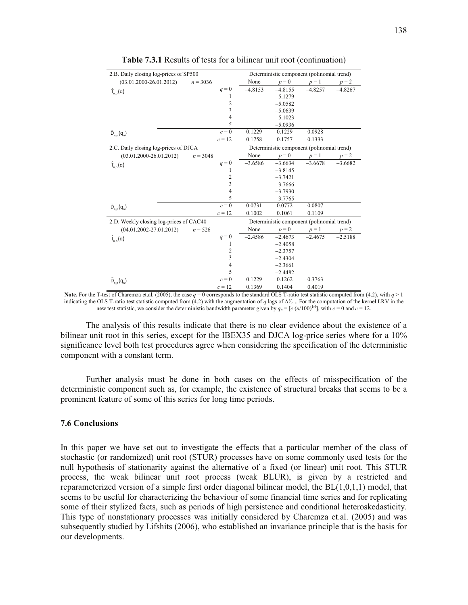| 2.B. Daily closing log-prices of SP500  |            |                    | Deterministic component (polinomial trend) |                                            |           |           |  |
|-----------------------------------------|------------|--------------------|--------------------------------------------|--------------------------------------------|-----------|-----------|--|
| $(03.01.2000 - 26.01.2012)$             | $n = 3036$ |                    | None                                       | $p = 0$                                    | $p=1$     | $p = 2$   |  |
| $\hat{T}_{n,p}(q)$                      |            | $q=0$              | $-4.8153$                                  | $-4.8155$                                  | $-4.8257$ | $-4.8267$ |  |
|                                         |            | 1                  |                                            | $-5.1279$                                  |           |           |  |
|                                         |            | $\overline{c}$     |                                            | $-5.0582$                                  |           |           |  |
|                                         |            | 3                  |                                            | $-5.0639$                                  |           |           |  |
|                                         |            | $\overline{4}$     |                                            | $-5.1023$                                  |           |           |  |
|                                         |            | 5                  |                                            | $-5.0936$                                  |           |           |  |
| $\tilde{D}_{n,p}(q_n)$                  |            | $c=0$              | 0.1229                                     | 0.1229                                     | 0.0928    |           |  |
|                                         |            | $c = 12$           | 0.1758                                     | 0.1757                                     | 0.1333    |           |  |
| 2.C. Daily closing log-prices of DJCA   |            |                    |                                            | Deterministic component (polinomial trend) |           |           |  |
| $(03.01.2000 - 26.01.2012)$             | $n = 3048$ |                    | None                                       | $p = 0$                                    | $p=1$     | $p = 2$   |  |
| $\hat{T}_{n,p}(q)$                      |            | $q=0$              | $-3.6586$                                  | $-3.6634$                                  | $-3.6678$ | $-3.6682$ |  |
|                                         |            | 1                  |                                            | $-3.8145$                                  |           |           |  |
|                                         |            | 2                  |                                            | $-3.7421$                                  |           |           |  |
|                                         |            | 3                  |                                            | $-3.7666$                                  |           |           |  |
|                                         |            | 4                  |                                            | $-3.7930$                                  |           |           |  |
|                                         |            | 5                  |                                            | $-3.7765$                                  |           |           |  |
| $\tilde{D}_{n,p}(q_n)$                  |            | $\overline{c} = 0$ | 0.0731                                     | 0.0772                                     | 0.0807    |           |  |
|                                         |            | $c = 12$           | 0.1002                                     | 0.1061                                     | 0.1109    |           |  |
| 2.D. Weekly closing log-prices of CAC40 |            |                    |                                            | Deterministic component (polinomial trend) |           |           |  |
| $(04.01.2002 - 27.01.2012)$             | $n = 526$  |                    | None                                       | $p=0$                                      | $p=1$     | $p = 2$   |  |
| $\hat{T}_{n,p}(q)$                      |            | $q=0$              | $-2.4586$                                  | $-2.4673$                                  | $-2.4675$ | $-2.5188$ |  |
|                                         |            | 1                  |                                            | $-2.4058$                                  |           |           |  |
|                                         |            | 2                  |                                            | $-2.3757$                                  |           |           |  |
|                                         |            | $\mathfrak{Z}$     |                                            | $-2.4304$                                  |           |           |  |
|                                         |            | $\overline{4}$     |                                            | $-2.3661$                                  |           |           |  |
|                                         |            | 5                  |                                            | $-2.4482$                                  |           |           |  |
| $\tilde{D}_{n,p}(q_n)$                  |            | $c=0$              | 0.1229                                     | 0.1262                                     | 0.3763    |           |  |
|                                         |            | $c = 12$           | 0.1369                                     | 0.1404                                     | 0.4019    |           |  |

**Table 7.3.1** Results of tests for a bilinear unit root (continuation)

The analysis of this results indicate that there is no clear evidence about the existence of a bilinear unit root in this series, except for the IBEX35 and DJCA log-price series where for a 10% significance level both test procedures agree when considering the specification of the deterministic component with a constant term.

Further analysis must be done in both cases on the effects of misspecification of the deterministic component such as, for example, the existence of structural breaks that seems to be a prominent feature of some of this series for long time periods.

#### **7.6 Conclusions**

In this paper we have set out to investigate the effects that a particular member of the class of stochastic (or randomized) unit root (STUR) processes have on some commonly used tests for the null hypothesis of stationarity against the alternative of a fixed (or linear) unit root. This STUR process, the weak bilinear unit root process (weak BLUR), is given by a restricted and reparameterized version of a simple first order diagonal bilinear model, the BL(1,0,1,1) model, that seems to be useful for characterizing the behaviour of some financial time series and for replicating some of their stylized facts, such as periods of high persistence and conditional heteroskedasticity. This type of nonstationary processes was initially considered by Charemza et.al. (2005) and was subsequently studied by Lifshits (2006), who established an invariance principle that is the basis for our developments.

**Note.** For the T-test of Charemza et.al. (2005), the case  $q = 0$  corresponds to the standard OLS T-ratio test statistic computed from (4.2), with  $q > 1$ indicating the OLS T-ratio test statistic computed from (4.2) with the augmentation of *q* lags of  $\Delta Y_{t-1}$ . For the computation of the kernel LRV in the new test statistic, we consider the deterministic bandwidth parameter given by  $q_n = [c \cdot (n/100)^{1/4}]$ , with  $c = 0$  and  $c = 12$ .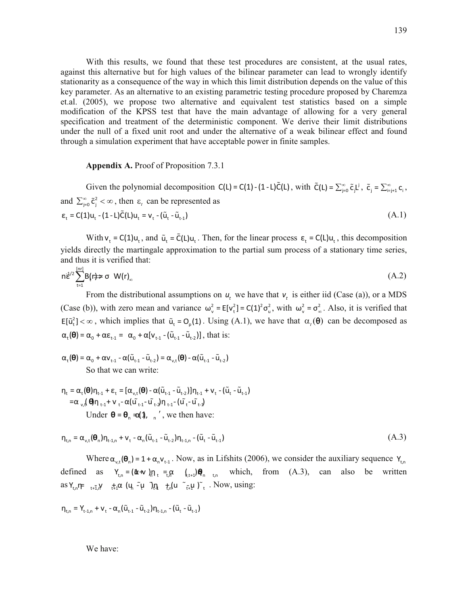With this results, we found that these test procedures are consistent, at the usual rates, against this alternative but for high values of the bilinear parameter can lead to wrongly identify stationarity as a consequence of the way in which this limit distribution depends on the value of this key parameter. As an alternative to an existing parametric testing procedure proposed by Charemza et.al. (2005), we propose two alternative and equivalent test statistics based on a simple modification of the KPSS test that have the main advantage of allowing for a very general specification and treatment of the deterministic component. We derive their limit distributions under the null of a fixed unit root and under the alternative of a weak bilinear effect and found through a simulation experiment that have acceptable power in finite samples.

## **Appendix A.** Proof of Proposition 7.3.1

Given the polynomial decomposition  $C(L) = C(1) - (1 - L)\tilde{C}(L)$ , with  $\tilde{C}(L) = \sum_{j=0}^{\infty} \tilde{c}_j L^j$ ,  $\tilde{c}_j = \sum_{i=j+1}^{\infty} c_i$ , and  $\sum_{j=0}^{\infty} \tilde{c}_j^2 < \infty$ , then  $\varepsilon_t$  can be represented as  $\varepsilon_{t} = C(1)u_{t} - (1 - L)\tilde{C}(L)u_{t} = v_{t} - (\tilde{u}_{t} - \tilde{u}_{t-1})$  (A.1)

With  $v_t = C(1)u_t$ , and  $\tilde{u}_t = \tilde{C}(L)u_t$ . Then, for the linear process  $\epsilon_t = C(L)u_t$ , this decomposition yields directly the martingale approximation to the partial sum process of a stationary time series, and thus it is verified that:

$$
n\dot{\vec{\epsilon}}^{2} \sum_{t=1}^{\lceil nr \rceil} B(r) \Rightarrow \sigma \ W(r)_{\infty} \tag{A.2}
$$

From the distributional assumptions on  $u_t$  we have that  $v_t$  is either iid (Case (a)), or a MDS (Case (b)), with zero mean and variance  $\omega_v^2 = E[v_t^2] = C(1)^2 \sigma_u^2$ , with  $\omega_v^2 = \sigma_w^2$ . Also, it is verified that  $E[\tilde{u}_t^2] < \infty$ , which implies that  $\tilde{u}_t = O_p(1)$ . Using (A.1), we have that  $\alpha_t(\theta)$  can be decomposed as  $\alpha_{\tau}(\mathbf{\Theta}) = \alpha_0 + \alpha \epsilon_{\tau-1} = \alpha_0 + \alpha [\mathsf{v}_{\tau-1} - (\tilde{\mathsf{u}}_{\tau-1} - \tilde{\mathsf{u}}_{\tau-2})]$ , that is:

- $\alpha_{+}(\theta) = \alpha_{0} + \alpha v_{1,1} \alpha(\tilde{u}_{1,1} \tilde{u}_{1,2}) = \alpha_{v,t}(\theta) \alpha(\tilde{u}_{1,1} \tilde{u}_{1,2})$ So that we can write:
- $\eta_t = \alpha_t(\theta)\eta_{t-1} + \varepsilon_t = [\alpha_{v,t}(\theta) \alpha(\tilde{u}_{t-1} \tilde{u}_{t-2})]\eta_{t-1} + v_t (\tilde{u}_t \tilde{u}_{t-1})$  $=\alpha_{v,t}(\theta)\eta_{t-1}+\nu_{t}-\alpha(\tilde{u_{t-1}}-\tilde{u_{t-2}})\eta_{t-1}-(\tilde{u_{t}}-\tilde{u_{t-2}})$ Under  $\theta = \theta_n \triangleleft \theta_n$ ,  $\theta_n'$ , we then have:

$$
\eta_{t,n} = \alpha_{v,t}(\theta_n) \eta_{t-1,n} + v_t - \alpha_n(\tilde{u}_{t-1} - \tilde{u}_{t-2}) \eta_{t-1,n} - (\tilde{u}_t - \tilde{u}_{t-1})
$$
\n(A.3)

Where  $\alpha_{v,t}(\theta_n) = 1 + \alpha_n v_{t-1}$ . Now, as in Lifshits (2006), we consider the auxiliary sequence  $Y_{t,n}$ defined as  $Y_{t,n} = (\mathbf{\hat{\alpha}} + \mathbf{v})\mathbf{n}_t = \mathbf{\hat{\alpha}} \mathbf{\hat{\alpha}} \mathbf{v}_{t+1} + \mathbf{\hat{\beta}} \mathbf{n}_{t} \mathbf{v}_{t}$  which, from (A.3), can also be written as  $Y_{t,n}$  $\leftarrow$   $t_{t-1}$ , $Y_{t+1}$   $\alpha$   $\left( \mu \right)$   $\left( \mu \right)$   $\left( \mu \right)$   $\left( \mu \right)$   $\left( \mu \right)$   $\left( \mu \right)$   $\left( \mu \right)$   $\left( \mu \right)$   $\left( \mu \right)$   $\left( \mu \right)$   $\left( \mu \right)$   $\left( \mu \right)$   $\left( \mu \right)$   $\left( \mu \right)$   $\left( \mu \right)$   $\left( \mu \right)$   $\left( \mu$ 

$$
\eta_{t,n} = Y_{t-1,n} + V_t - \alpha_n (\tilde{u}_{t-1} - \tilde{u}_{t-2}) \eta_{t-1,n} - (\tilde{u}_t - \tilde{u}_{t-1})
$$

We have: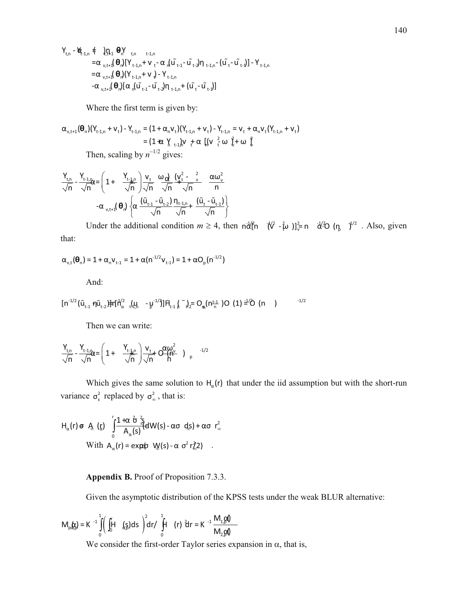$\begin{array}{lll} Y_{t,n} - \underbrace{W}_{t-1,n} & \notin & \bigcup_{\tau \in \Lambda} \Theta_{n} Y_{t,n} & \underset{t-1,n}{\longrightarrow} Y_{t-1,n} \\ & = \alpha_{v,t+1} (\Theta_{n}) [Y_{t-1,n} + V_{t} - \alpha_{n} ( \widetilde{u}_{t-1} - \widetilde{u}_{t-2}) \eta_{t-1,n} - ( \widetilde{u}_{t} - \widetilde{u}_{t-1} ) ] - Y_{t-1,n} \end{array}$  $= \alpha_{v,t+1} \big(\ \pmb{\theta}_n \big) \big( \mathsf{Y}_{t-1,n} \!+\! \mathsf{V}_{v} \big) \!-\! \mathsf{Y}_{t-1,n}$  $-\alpha_{v,t+1}(\theta_n)[\alpha_n(\tilde{u}_{t-1}-\tilde{u}_{t-2})\eta_{t-1,n}+(\tilde{u}_{t}-\tilde{u}_{t-1})]$ 

Where the first term is given by:

 $\alpha_{\mathit{v},t+1}(\pmb\theta_n)(Y_{t\text{-}1,n}+V_t)-Y_{t\text{-}1,n}=(1+\alpha_{n}V_t)(Y_{t\text{-}1,n}+V_t)-Y_{t\text{-}1,n}=V_t+\alpha_{n}V_t(Y_{t\text{-}1,n}+V_t)$ =  $(1 + \alpha) \left( \frac{1}{2} + \alpha \right) \left[ (\sqrt{\frac{2}{2}} + \alpha) \right]^{2} + \alpha \left[ (\sqrt{\frac{2}{2}} + \alpha) \right]^{2}$ Then, scaling by  $n^{-1/2}$  gives:

$$
\frac{Y_{t,n}}{\sqrt{n}} - \frac{Y_{t\text{-}1,n}}{\sqrt{n}} e = \left(1 + \frac{Y_{t\text{-}1,n}}{\sqrt{n}}\right) \frac{V_t}{\sqrt{n}} - \frac{\omega_d}{\sqrt{n}} \frac{\left(V_t^2 - \frac{2}{v}\right)}{\sqrt{n}} - \frac{\alpha \omega_v^2}{n}
$$

$$
- \alpha_{v,t\text{-}1}(\theta_n) \left\{ \alpha \frac{\left(\tilde{u}_{t\text{-}1} - \tilde{u}_{t\text{-}2}\right) \eta_{t\text{-}1,n}}{\sqrt{n}} + \frac{\left(\tilde{u}_t - \tilde{u}_{t\text{-}1}\right)}{\sqrt{n}} \right\}
$$

Under the additional condition  $m \ge 4$ , then  $\|\vec{d}\|^n \quad (\sqrt[n]{\ } -\frac{2}{5}\omega\) \|^2_{\sqrt{n}} = \sqrt[n]{2}$  (n<sub>p</sub>  $\gamma^{1/2}$ . Also, given that:

$$
\alpha_{v,t}(\boldsymbol{\theta}_n) = 1 + \alpha_n v_{t-1} = 1 + \alpha (n^{-1/2} v_{t-1}) = 1 + \alpha O_p(n^{-1/2})
$$

And:

$$
[n^{-1/2}(\tilde{u}_{t-1} + \tilde{\mu} \tilde{u}_{t-2}) + \tilde{f} \tilde{h}_{\alpha}^{1/2} \mathbf{1}_{t+1}(\mu_{t-1} - \mu^{-1/2})] \mathbf{H}_{t-1} \int_{0}^{\infty} \mathbf{1}_{t} \frac{1}{2} = O_{\mathfrak{m}}(n^{\underline{t-1}}) O_{\mathfrak{m}}(1) = \frac{1}{2} O_{\mathfrak{m}}(n)
$$

Then we can write:

$$
\frac{Y_{t,n}}{\sqrt{n}} - \frac{Y_{t-1,n}}{\sqrt{n}} \alpha = \left(1 + \frac{Y_{t-1,n}}{\sqrt{n}}\right) \frac{V_t}{\sqrt{n}} + O\frac{\alpha \omega^2}{h} \bigg|_{p}^{2} \quad ,
$$

Which gives the same solution to  $H_{\alpha}(r)$  that under the iid assumption but with the short-run variance  $\sigma_{\epsilon}^2$  replaced by  $\sigma_{\infty}^2$ , that is:

$$
H_{\alpha}(r) \in A_{\alpha}(\zeta) \int_{0}^{r} \frac{1+\alpha \hat{\sigma} \frac{2}{3}}{A_{\alpha}(s)} dW(s) - \alpha \sigma \ ds + \alpha \sigma r_{\infty}^{2}
$$
  
With  $A_{\alpha}(r) = \exp(\sigma V_{\alpha}(s) - \alpha \sigma^{2} r_{\alpha}^{2})$ .

#### **Appendix B.** Proof of Proposition 7.3.3.

Given the asymptotic distribution of the KPSS tests under the weak BLUR alternative:

$$
M_{p}(\mathbf{r}) = K^{-1} \int_{0}^{1} \left( \iint_{0}^{H} f(x) \, dx \right)^{2} dr / \int_{0}^{1} f(r) \, dr = K^{-1} \frac{M_{1} \, g \, 0}{M_{2} \, g \, 0}
$$

We consider the first-order Taylor series expansion in  $\alpha$ , that is,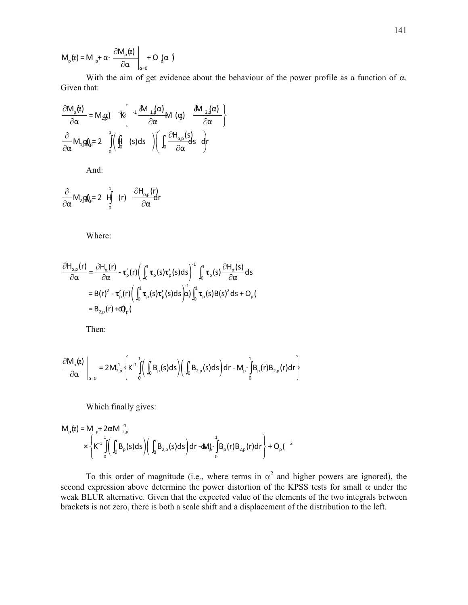$$
M_{p}(\alpha) = M_{p} + \alpha \cdot \left. \frac{\partial M_{p}(\alpha)}{\partial \alpha} \right|_{\alpha=0} + O_{p}(\alpha)^{3}
$$

With the aim of get evidence about the behaviour of the power profile as a function of  $\alpha$ . Given that:

$$
\frac{\partial M_{p}(\alpha)}{\partial \alpha} = M_{2\beta} \int K \left\{ \begin{array}{c} -i \frac{\partial M_{1,\beta}(\alpha)}{\partial \alpha} M(\alpha) & \frac{\partial M_{2,\beta}(\alpha)}{\partial \alpha} \\ \frac{\partial}{\partial \alpha} M_{1,\beta} \phi_{p} = 2 \end{array} \right\}
$$

And:

$$
\frac{\partial}{\partial \alpha} M_{2,\beta} \mathbf{Q}_{\rho} = 2 \mathbf{H} \int_{0}^{1} (r) \frac{\partial H_{\alpha,\rho}(r)}{\partial \alpha} dr
$$

Where:

$$
\frac{\partial H_{\alpha,p}(r)}{\partial \alpha} = \frac{\partial H_{\alpha}(r)}{\partial \alpha} - \tau_{p}'(r) \left( \int_{0}^{1} \tau_{p}(s) \tau_{p}'(s) ds \right)^{-1} \int_{0}^{1} \tau_{p}(s) \frac{\partial H_{\alpha}(s)}{\partial \alpha} ds
$$
  
\n= B(r)<sup>2</sup> - \tau\_{p}'(r) \left( \int\_{0}^{1} \tau\_{p}(s) \tau\_{p}'(s) ds \right) \frac{1}{\alpha} \int\_{0}^{1} \tau\_{p}(s) B(s)^{2} ds + O\_{p}(s)  
\n= B<sub>2,p</sub>(r) +cQ<sub>p</sub>(

Then:

$$
\left.\frac{\partial M_{p}(\boldsymbol{\alpha})}{\partial\alpha}\right|_{\alpha=0}=2M_{2,p}^{1}\left\{K^{-1}\int\limits_{0}^{1}\left(\int\limits_{0}B_{p}(s)ds\right)\left(\int\limits_{0}B_{2,p}(s)ds\right)dr-M_{p}\cdot\int\limits_{0}^{1}B_{p}(r)B_{2,p}(r)dr\right\}
$$

Which finally gives:

$$
M_{p}(\alpha) = M_{p} + 2\alpha M_{2,p}^{-1}
$$
  
 
$$
\times \left\{ K^{1} \int_{0}^{1} \left( \int_{0}^{1} B_{p}(s) ds \right) \left( \int_{0}^{1} B_{2,p}(s) ds \right) dr - dM \int_{0}^{1} \int_{0}^{1} B_{p}(r) B_{2,p}(r) dr \right\} + O_{p}(r^{2})
$$

To this order of magnitude (i.e., where terms in  $\alpha^2$  and higher powers are ignored), the second expression above determine the power distortion of the KPSS tests for small  $\alpha$  under the weak BLUR alternative. Given that the expected value of the elements of the two integrals between brackets is not zero, there is both a scale shift and a displacement of the distribution to the left.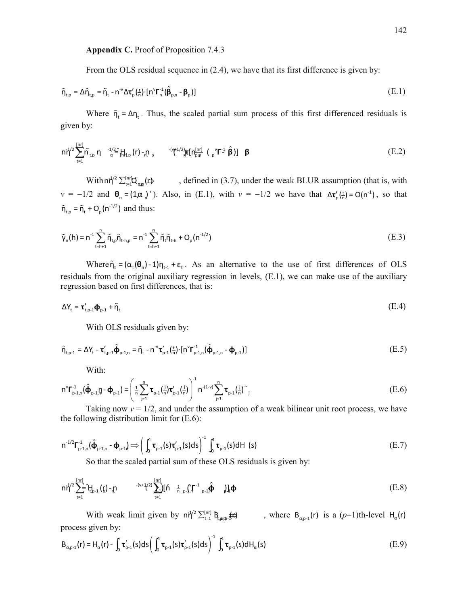Appendix C. Proof of Proposition 7.4.3

From the OLS residual sequence in (2.4), we have that its first difference is given by:

$$
\tilde{\eta}_{t,p} = \Delta \hat{\eta}_{t,p} = \tilde{\eta}_t - n^{\nu} \Delta \tau'_{p} (\frac{t}{n}) \cdot [n^{\nu} \Gamma_{n}^{-1} (\hat{\beta}_{p,n} - \beta_{p})]
$$
\n(E.1)

Where  $\tilde{\eta}_t = \Delta \eta_t$ . Thus, the scaled partial sum process of this first differenced residuals is given by:

$$
n\dot{\eta}^2 \sum_{t=1}^{[nr]} \tilde{n}_{t,p} \eta^{-1/2} \hat{=} [H_{1,p}(r) - \eta_{p} - \frac{-(\eta^{1/2})}{\pi} [n_{pm}^{[nr]} (\eta^{1/2}) \hat{\mathbf{r}}] \mathbf{F}^{[nr]} (\mathbf{F}^{-1} \hat{\mathbf{\beta}})] \mathbf{\beta}
$$
(E.2)

With  $n\dot{d}^2 \sum_{t=1}^{\lfloor nr \rfloor} Q_{nm}(t)$ , defined in (3.7), under the weak BLUR assumption (that is, with  $v = -1/2$  and  $\theta_n = (1\alpha)$ , Also, in (E.1), with  $v = -1/2$  we have that  $\Delta \tau'_p(\frac{t}{n}) = O(n^{-1})$ , so that  $\tilde{\eta}_{t,p} = \tilde{\eta}_t + O_p(n^{-1/2})$  and thus:

$$
\tilde{\gamma}_{n}(h) = n^{-1} \sum_{t=h+1}^{n} \tilde{\eta}_{t,p} \tilde{\eta}_{t+h,p} = n^{-1} \sum_{t=h+1}^{n} \tilde{\eta}_{t} \tilde{\eta}_{t+h} + O_{p}(n^{-1/2})
$$
\n(E.3)

Where  $\tilde{\eta}_t = (\alpha_t(\theta_0) - 1)\eta_{t-1} + \varepsilon_t$ . As an alternative to the use of first differences of OLS residuals from the original auxiliary regression in levels, (E.1), we can make use of the auxiliary regression based on first differences, that is:

$$
\Delta Y_{t} = \mathbf{\tau}'_{t, p-1} \mathbf{\Phi}_{p-1} + \tilde{\eta}_{t} \tag{E.4}
$$

With OLS residuals given by:

$$
\hat{\eta}_{t,p-1} = \Delta Y_t - \tau'_{t,p-1} \hat{\Phi}_{p-1,n} = \tilde{\eta}_t - n^{-\nu} \tau'_{p-1} (\frac{t}{n}) \cdot [n^{\nu} \Gamma_{p-1,n}^{-1} (\hat{\Phi}_{p-1,n} - \Phi_{p-1})]
$$
(E.5)

With:

$$
n^{\nu} \Gamma_{p-1,n}^{-1} (\hat{\Phi}_{p-1,n} \Gamma - \Phi_{p-1}) = \left( \frac{1}{n} \sum_{j=1}^{n} \tau_{p-1} (\frac{j}{n}) \tau_{p-1}' (\frac{j}{n}) \right)^{-1} n^{-(1-\nu)} \sum_{j=1}^{n} \tau_{p-1} (\frac{j}{n})^{\sim}.
$$
 (E.6)

Taking now  $v = 1/2$ , and under the assumption of a weak bilinear unit root process, we have the following distribution limit for  $(E.6)$ :

$$
n^{-1/2} \Gamma_{p-1,n}^{-1} (\hat{\boldsymbol{\Phi}}_{p-1,n} - \boldsymbol{\Phi}_{p-1}) \Longrightarrow \left( \int_0^1 \boldsymbol{\tau}_{p-1}(s) \boldsymbol{\tau}_{p-1}'(s) ds \right)^{-1} \int_0^1 \boldsymbol{\tau}_{p-1}(s) dH(s)
$$
\n(E.7)

So that the scaled partial sum of these OLS residuals is given by:

$$
n\tilde{\eta}^{2}\sum_{t=1}^{[nr]}-\tilde{t}_{t,p-1}^{H}\left(\xi\right)-\eta, \qquad \qquad {}^{-(v+1/2)}\sum_{t=1}^{[nr]}\left[\tilde{h}+\frac{t}{n}\int_{p-1}^{v}\int_{p-1}^{r-1}\hat{\phi}-\int_{p-1}^{1}\hat{\phi}-\int_{p-1}^{1}\hat{\phi}\right]
$$
(E.8)

With weak limit given by  $n\dot{q}^2 \sum_{t=1}^{\lfloor nt \rfloor} \mathbf{B}_{t,m,b}$   $\downarrow$  to where  $\mathbf{B}_{a,p-1}(r)$  is a  $(p-1)$ th-level  $\mathbf{H}_q(r)$ process given by:

$$
\mathsf{B}_{\alpha,p\cdot1}(r) = \mathsf{H}_{\alpha}(r) - \int_0^r \tau_{p\cdot1}'(s)ds \left(\int_0^1 \tau_{p\cdot1}(s)\tau_{p\cdot1}'(s)ds\right)^{-1} \int_0^1 \tau_{p\cdot1}(s)d\mathsf{H}_{\alpha}(s) \tag{E.9}
$$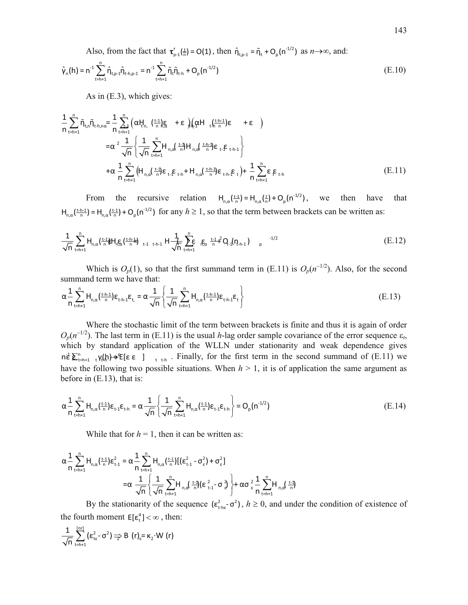Also, from the fact that  $\tau'_{p-1}(\frac{1}{n}) = O(1)$ , then  $\hat{\eta}_{t,p-1} = \tilde{\eta}_t + O_p(n^{-1/2})$  as  $n \to \infty$ , and:

$$
\hat{\gamma}_n(h) = n^{-1} \sum_{t=h+1}^n \hat{\eta}_{t,p-1} \hat{\eta}_{t-h,p-1} = n^{-1} \sum_{t=h+1}^n \tilde{\eta}_t \tilde{\eta}_{t-h} + O_p(n^{-1/2})
$$
\n(E.10)

As in  $(E.3)$ , which gives:

$$
\frac{1}{n} \sum_{t=h+1}^{n} \tilde{\eta}_{t,n} \tilde{\eta}_{t-h,n\alpha} = \frac{1}{n} \sum_{t=1+1}^{n} \left( \alpha t_{t,n}^{H} \left( \frac{t-1}{n} \right) \xi_{t} + \epsilon \right) \left( \alpha H_{t,n}^{H} \left( \frac{t-h-1}{n} \right) \epsilon + \epsilon \right)
$$
\n
$$
= \alpha^{2} \frac{1}{\sqrt{n}} \left\{ \frac{1}{\sqrt{n}} \sum_{t=h+1}^{n} H_{n,\alpha} \left( \frac{t-1}{n} \right) H_{n,\alpha} \left( \frac{t-h-1}{n} \right) \epsilon_{t} \epsilon_{t} \epsilon_{t+h-1} \right\}
$$
\n
$$
+ \alpha \frac{1}{n} \sum_{t=h+1}^{n} \left( H_{n,\alpha} \left( \frac{t-1}{n} \right) \epsilon_{t} \epsilon_{t} \epsilon_{t+h} + H_{n,\alpha} \left( \frac{t-h-1}{n} \right) \epsilon_{t+h} \epsilon_{t} \right) + \frac{1}{n} \sum_{t=h+1}^{n} \epsilon \epsilon_{t} \epsilon_{t+h} \tag{E.11}
$$

the recursive relation  $H_{p,q}(\frac{t-1}{p}) = H_{p,q}(\frac{t}{p}) + O_p(n^{-1/2})$ , we From then have that  $H_{n,q}(\frac{t+h-1}{n}) = H_{n,q}(\frac{t-1}{n}) + O_p(n^{-1/2})$  for any  $h \ge 1$ , so that the term between brackets can be written as:

$$
\frac{1}{\sqrt{n}} \sum_{t=h+1}^{n} H_{n,\alpha} \left( \frac{t \cdot 1}{n} \frac{1}{r} H_{n,\alpha} \left( \frac{t \cdot h \cdot 1}{n} \right)_{t-1} \right) \frac{1}{t \cdot h \cdot 1} H_{n,\alpha} \sum_{t=h+1}^{n} \mathbf{E} \mathbf{E} \mathbf{E} \mathbf{E} \mathbf{E} \mathbf{E} \mathbf{E} \mathbf{E} \mathbf{E} \mathbf{E} \mathbf{E} \mathbf{E} \mathbf{E} \mathbf{E} \mathbf{E} \mathbf{E} \mathbf{E} \mathbf{E} \mathbf{E} \mathbf{E} \mathbf{E} \mathbf{E} \mathbf{E} \mathbf{E} \mathbf{E} \mathbf{E} \mathbf{E} \mathbf{E} \mathbf{E} \mathbf{E} \mathbf{E} \mathbf{E} \mathbf{E} \mathbf{E} \mathbf{E} \mathbf{E} \mathbf{E} \mathbf{E} \mathbf{E} \mathbf{E} \mathbf{E} \mathbf{E} \mathbf{E} \mathbf{E} \mathbf{E} \mathbf{E} \mathbf{E} \mathbf{E} \mathbf{E} \mathbf{E} \mathbf{E} \mathbf{E} \mathbf{E} \mathbf{E} \mathbf{E} \mathbf{E} \mathbf{E} \mathbf{E} \mathbf{E} \mathbf{E} \mathbf{E} \mathbf{E} \mathbf{E} \mathbf{E} \mathbf{E} \mathbf{E} \mathbf{E} \mathbf{E} \mathbf{E} \mathbf{E} \mathbf{E} \mathbf{E} \mathbf{E} \mathbf{E} \mathbf{E} \mathbf{E} \mathbf{E} \mathbf{E} \mathbf{E} \mathbf{E} \mathbf{E} \mathbf{E} \mathbf{E} \mathbf{E} \mathbf{E} \mathbf{E} \mathbf{E} \mathbf{E} \mathbf{E} \mathbf{E} \mathbf{E} \mathbf{E} \mathbf{E} \mathbf{E} \mathbf{E} \mathbf{E} \mathbf{E} \mathbf{E} \mathbf{E} \mathbf{E} \mathbf{E} \mathbf{E} \mathbf{E} \mathbf{E} \mathbf{E} \mathbf{E} \mathbf{E} \mathbf{E}
$$

Which is  $O_p(1)$ , so that the first summand term in (E.11) is  $O_p(n^{-1/2})$ . Also, for the second summand term we have that:

$$
\alpha \frac{1}{n} \sum_{t=h+1}^{n} H_{n,\alpha} \left( \frac{t+h-1}{n} \right) \varepsilon_{t+h-1} \varepsilon_{t,1} = \alpha \frac{1}{\sqrt{n}} \left\{ \frac{1}{\sqrt{n}} \sum_{t=h+1}^{n} H_{n,\alpha} \left( \frac{t+h-1}{n} \right) \varepsilon_{t+h-1} \varepsilon_{t} \right\} \tag{E.13}
$$

Where the stochastic limit of the term between brackets is finite and thus it is again of order  $O_p(n^{-1/2})$ . The last term in (E.11) is the usual *h*-lag order sample covariance of the error sequence  $\varepsilon_t$ , which by standard application of the WLLN under stationarity and weak dependence gives  $n\epsilon^1 \sum_{t=h+1}^n \gamma(t)$  +  $\epsilon$  [ $\epsilon \epsilon$  ]  $\epsilon$  . Finally, for the first term in the second summand of (E.11) we have the following two possible situations. When  $h > 1$ , it is of application the same argument as before in  $(E.13)$ , that is:

$$
\alpha \frac{1}{n} \sum_{t=h+1}^{n} H_{n,\alpha}(\frac{t \cdot 1}{n}) \varepsilon_{t-1} \varepsilon_{t-h} = \alpha \frac{1}{\sqrt{n}} \left\{ \frac{1}{\sqrt{n}} \sum_{t=h+1}^{n} H_{n,\alpha}(\frac{t \cdot 1}{n}) \varepsilon_{t-1} \varepsilon_{t-h} \right\} = O_p(n^{-1/2})
$$
(E.14)

While that for  $h = 1$ , then it can be written as:

$$
\alpha \frac{1}{n} \sum_{t=h+1}^{n} H_{n,\alpha} \left( \frac{t-1}{n} \right) \epsilon_{t-1}^{2} = \alpha \frac{1}{n} \sum_{t=h+1}^{n} H_{n,\alpha} \left( \frac{t-1}{n} \right) \left[ \left( \epsilon_{t-1}^{2} - \sigma_{\epsilon}^{2} \right) + \sigma_{\epsilon}^{2} \right]
$$

$$
= \alpha \frac{1}{\sqrt{n}} \left\{ \frac{1}{\sqrt{n}} \sum_{t=h+1}^{n} H_{n,\alpha} \left( \frac{t-1}{n} \right) \left( \epsilon_{t-1}^{2} - \sigma_{\epsilon}^{2} \right) + \alpha \sigma_{\epsilon}^{2} \frac{1}{n} \sum_{t=h+1}^{n} H_{n,\alpha} \left( \frac{t-1}{n} \right) \right\}
$$

By the stationarity of the sequence  $(\epsilon_{\text{the}}^2 \sigma^2)$ ,  $h \ge 0$ , and under the condition of existence of the fourth moment  $E[\epsilon_+^4] < \infty$ , then:

$$
\frac{1}{\sqrt{n}}\sum_{t=h+1}^{[nr]}(\epsilon_{te}^2-\sigma^2)\Rightarrow B(r)_\epsilon = \kappa_2\cdot W(r)
$$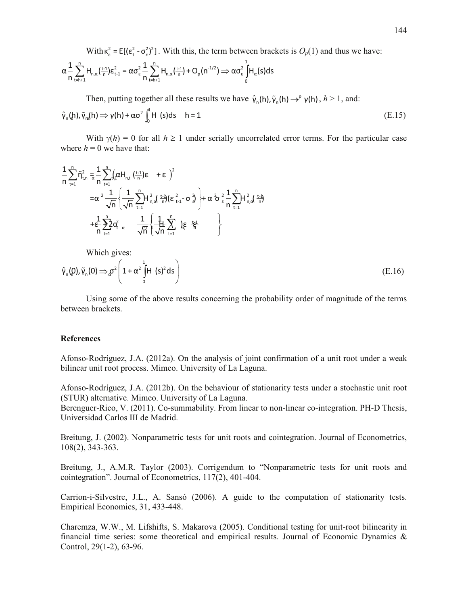With  $\kappa_{\varepsilon}^2 = E[(\varepsilon_{t}^2 - \sigma_{\varepsilon}^2)^2]$ . With this, the term between brackets is  $O_p(1)$  and thus we have:

$$
\alpha \frac{1}{n} \sum_{t=h+1}^{n} H_{n,\alpha}(\frac{t-1}{n}) \epsilon_{t-1}^{2} = \alpha \sigma_{\epsilon}^{2} \frac{1}{n} \sum_{t=h+1}^{n} H_{n,\alpha}(\frac{t-1}{n}) + O_{p}(n^{-1/2}) \Rightarrow \alpha \sigma_{\epsilon}^{2} \int_{0}^{1} H_{\alpha}(s) ds
$$

Then, putting together all these results we have  $\hat{\gamma}_n(h), \tilde{\gamma}_n(h) \rightarrow^p \gamma(h), h > 1$ , and:

$$
\hat{\gamma}_n(h), \tilde{\gamma}_m(h) \Rightarrow \gamma(h) + \alpha \sigma^2 \int_0^1 H(s) ds \quad h = 1
$$
\n(E.15)

With  $\gamma(h) = 0$  for all  $h \ge 1$  under serially uncorrelated error terms. For the particular case where  $h = 0$  we have that:

$$
\frac{1}{n} \sum_{t=1}^{n} \tilde{\eta}_{t,n}^{2} = \frac{1}{n} \sum_{t=1}^{n} \left( \alpha H_{n,t} \left( \frac{t-1}{n} \right) \epsilon + \epsilon \right)^{2}
$$
\n
$$
= \alpha^{2} \frac{1}{\sqrt{n}} \left\{ \frac{1}{\sqrt{n}} \sum_{t=1}^{n} H_{n,d}^{2} \left( \frac{t-1}{n} \right) \left( \epsilon_{t-1}^{2} - \sigma \right)^{2} \right\} + \alpha^{2} \sigma \epsilon_{\epsilon}^{2} \frac{1}{n} \sum_{t=1}^{n} H_{n,d}^{2} \left( \frac{t-1}{n} \right)^{2}
$$
\n
$$
+ \frac{1}{n} \sum_{t=1}^{n} 2 \alpha_{\epsilon}^{2} \alpha \frac{1}{\sqrt{n}} \left\{ \frac{1}{\sqrt{n}} \sum_{t=1}^{n} \log \frac{t-1}{n} \right\}
$$

Which gives:

$$
\hat{\gamma}_n(\rho), \tilde{\gamma}_n(0) \Longrightarrow \sigma^2 \left( 1 + \alpha^2 \int_0^1 H(s)^2 ds \right)
$$
\n(E.16)

Using some of the above results concerning the probability order of magnitude of the terms between brackets.

### **References**

Afonso-Rodríguez, J.A. (2012a). On the analysis of joint confirmation of a unit root under a weak bilinear unit root process. Mimeo. University of La Laguna.

Afonso-Rodríguez, J.A. (2012b). On the behaviour of stationarity tests under a stochastic unit root (STUR) alternative. Mimeo. University of La Laguna.

Berenguer-Rico, V. (2011). Co-summability. From linear to non-linear co-integration. PH-D Thesis, Universidad Carlos III de Madrid.

Breitung, J. (2002). Nonparametric tests for unit roots and cointegration. Journal of Econometrics,  $108(2)$ , 343-363.

Breitung, J., A.M.R. Taylor (2003). Corrigendum to "Nonparametric tests for unit roots and cointegration". Journal of Econometrics, 117(2), 401-404.

Carrion-i-Silvestre, J.L., A. Sansó (2006). A guide to the computation of stationarity tests. Empirical Economics, 31, 433-448.

Charemza, W.W., M. Lifshifts, S. Makarova (2005). Conditional testing for unit-root bilinearity in financial time series: some theoretical and empirical results. Journal of Economic Dynamics  $\&$ Control, 29(1-2), 63-96.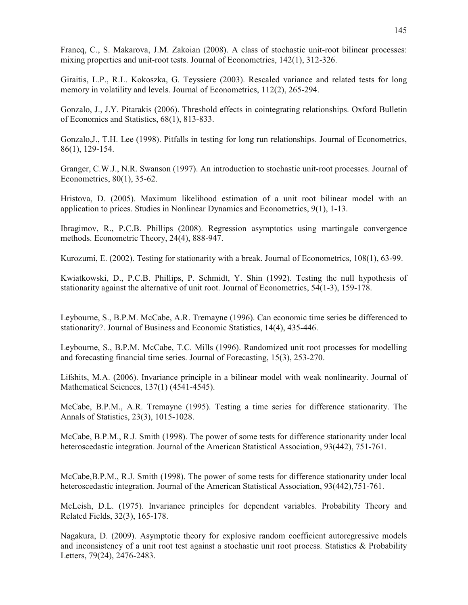Francq, C., S. Makarova, J.M. Zakoian (2008). A class of stochastic unit-root bilinear processes: mixing properties and unit-root tests. Journal of Econometrics, 142(1), 312-326.

Giraitis, L.P., R.L. Kokoszka, G. Teyssiere (2003). Rescaled variance and related tests for long memory in volatility and levels. Journal of Econometrics, 112(2), 265-294.

Gonzalo, J., J.Y. Pitarakis (2006). Threshold effects in cointegrating relationships. Oxford Bulletin of Economics and Statistics, 68(1), 813-833.

Gonzalo,J., T.H. Lee (1998). Pitfalls in testing for long run relationships. Journal of Econometrics, 86(1), 129-154.

Granger, C.W.J., N.R. Swanson (1997). An introduction to stochastic unit-root processes. Journal of Econometrics, 80(1), 35-62.

Hristova, D. (2005). Maximum likelihood estimation of a unit root bilinear model with an application to prices. Studies in Nonlinear Dynamics and Econometrics, 9(1), 1-13.

Ibragimov, R., P.C.B. Phillips (2008). Regression asymptotics using martingale convergence methods. Econometric Theory, 24(4), 888-947.

Kurozumi, E. (2002). Testing for stationarity with a break. Journal of Econometrics, 108(1), 63-99.

Kwiatkowski, D., P.C.B. Phillips, P. Schmidt, Y. Shin (1992). Testing the null hypothesis of stationarity against the alternative of unit root. Journal of Econometrics, 54(1-3), 159-178.

Leybourne, S., B.P.M. McCabe, A.R. Tremayne (1996). Can economic time series be differenced to stationarity?. Journal of Business and Economic Statistics, 14(4), 435-446.

Leybourne, S., B.P.M. McCabe, T.C. Mills (1996). Randomized unit root processes for modelling and forecasting financial time series. Journal of Forecasting, 15(3), 253-270.

Lifshits, M.A. (2006). Invariance principle in a bilinear model with weak nonlinearity. Journal of Mathematical Sciences, 137(1) (4541-4545).

McCabe, B.P.M., A.R. Tremayne (1995). Testing a time series for difference stationarity. The Annals of Statistics, 23(3), 1015-1028.

McCabe, B.P.M., R.J. Smith (1998). The power of some tests for difference stationarity under local heteroscedastic integration. Journal of the American Statistical Association, 93(442), 751-761.

McCabe,B.P.M., R.J. Smith (1998). The power of some tests for difference stationarity under local heteroscedastic integration. Journal of the American Statistical Association, 93(442),751-761.

McLeish, D.L. (1975). Invariance principles for dependent variables. Probability Theory and Related Fields, 32(3), 165-178.

Nagakura, D. (2009). Asymptotic theory for explosive random coefficient autoregressive models and inconsistency of a unit root test against a stochastic unit root process. Statistics & Probability Letters, 79(24), 2476-2483.